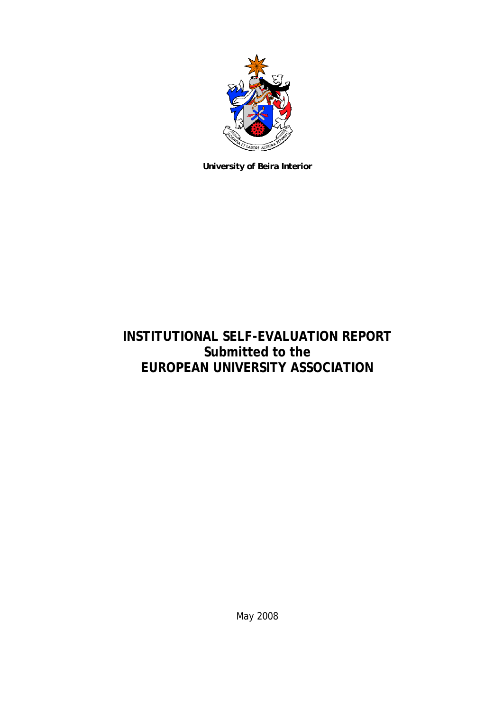

*University of Beira Interior* 

# **INSTITUTIONAL SELF-EVALUATION REPORT Submitted to the EUROPEAN UNIVERSITY ASSOCIATION**

May 2008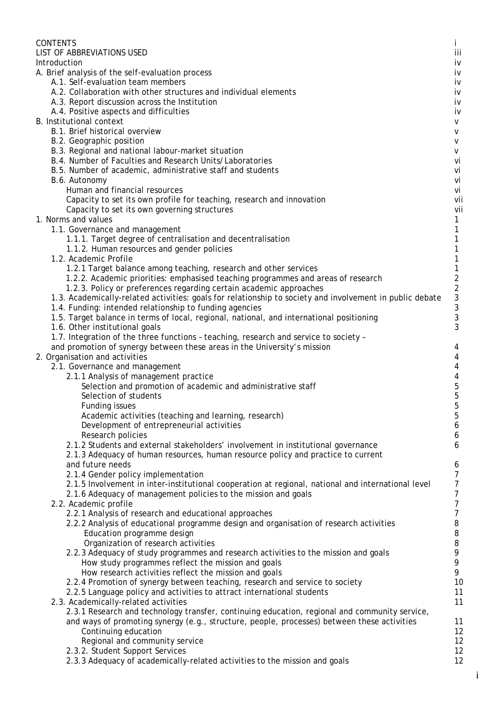| <b>CONTENTS</b>                                                                                          | L        |
|----------------------------------------------------------------------------------------------------------|----------|
| LIST OF ABBREVIATIONS USED                                                                               | iii      |
| Introduction                                                                                             | iv       |
| A. Brief analysis of the self-evaluation process                                                         | iv       |
| A.1. Self-evaluation team members<br>A.2. Collaboration with other structures and individual elements    | iv       |
|                                                                                                          | iv       |
| A.3. Report discussion across the Institution                                                            | iv       |
| A.4. Positive aspects and difficulties<br><b>B.</b> Institutional context                                | iv<br>v  |
| B.1. Brief historical overview                                                                           | v        |
| B.2. Geographic position                                                                                 | v        |
| B.3. Regional and national labour-market situation                                                       | V        |
| B.4. Number of Faculties and Research Units/Laboratories                                                 | vi       |
| B.5. Number of academic, administrative staff and students                                               | vi       |
| B.6. Autonomy                                                                                            | vi       |
| Human and financial resources                                                                            | vi       |
| Capacity to set its own profile for teaching, research and innovation                                    | vii      |
| Capacity to set its own governing structures                                                             | vii      |
| 1. Norms and values                                                                                      | 1        |
| 1.1. Governance and management                                                                           | 1        |
| 1.1.1. Target degree of centralisation and decentralisation                                              | 1        |
| 1.1.2. Human resources and gender policies                                                               |          |
| 1.2. Academic Profile                                                                                    |          |
| 1.2.1 Target balance among teaching, research and other services                                         |          |
| 1.2.2. Academic priorities: emphasised teaching programmes and areas of research                         | 2        |
| 1.2.3. Policy or preferences regarding certain academic approaches                                       | 2        |
| 1.3. Academically-related activities: goals for relationship to society and involvement in public debate | 3        |
| 1.4. Funding: intended relationship to funding agencies                                                  | 3        |
| 1.5. Target balance in terms of local, regional, national, and international positioning                 | 3        |
| 1.6. Other institutional goals                                                                           | 3        |
| 1.7. Integration of the three functions - teaching, research and service to society -                    |          |
| and promotion of synergy between these areas in the University's mission                                 | 4        |
| 2. Organisation and activities                                                                           | 4        |
| 2.1. Governance and management                                                                           | 4        |
| 2.1.1 Analysis of management practice                                                                    | 4        |
| Selection and promotion of academic and administrative staff<br>Selection of students                    | 5<br>5   |
|                                                                                                          | 5        |
| Funding issues<br>Academic activities (teaching and learning, research)                                  | 5        |
| Development of entrepreneurial activities                                                                | 6        |
| Research policies                                                                                        | 6        |
| 2.1.2 Students and external stakeholders' involvement in institutional governance                        | 6        |
| 2.1.3 Adequacy of human resources, human resource policy and practice to current                         |          |
| and future needs                                                                                         | 6        |
| 2.1.4 Gender policy implementation                                                                       | 7        |
| 2.1.5 Involvement in inter-institutional cooperation at regional, national and international level       | 7        |
| 2.1.6 Adequacy of management policies to the mission and goals                                           | 7        |
| 2.2. Academic profile                                                                                    | 7        |
| 2.2.1 Analysis of research and educational approaches                                                    | 7        |
| 2.2.2 Analysis of educational programme design and organisation of research activities                   | 8        |
| Education programme design                                                                               | 8        |
| Organization of research activities                                                                      | 8        |
| 2.2.3 Adequacy of study programmes and research activities to the mission and goals                      | 9        |
| How study programmes reflect the mission and goals                                                       | 9        |
| How research activities reflect the mission and goals                                                    | 9        |
| 2.2.4 Promotion of synergy between teaching, research and service to society                             | 10       |
| 2.2.5 Language policy and activities to attract international students                                   | 11       |
| 2.3. Academically-related activities                                                                     | 11       |
| 2.3.1 Research and technology transfer, continuing education, regional and community service,            |          |
| and ways of promoting synergy (e.g., structure, people, processes) between these activities              | 11       |
| Continuing education                                                                                     | 12       |
| Regional and community service                                                                           | 12       |
| 2.3.2. Student Support Services                                                                          | 12<br>12 |
| 2.3.3 Adequacy of academically-related activities to the mission and goals                               |          |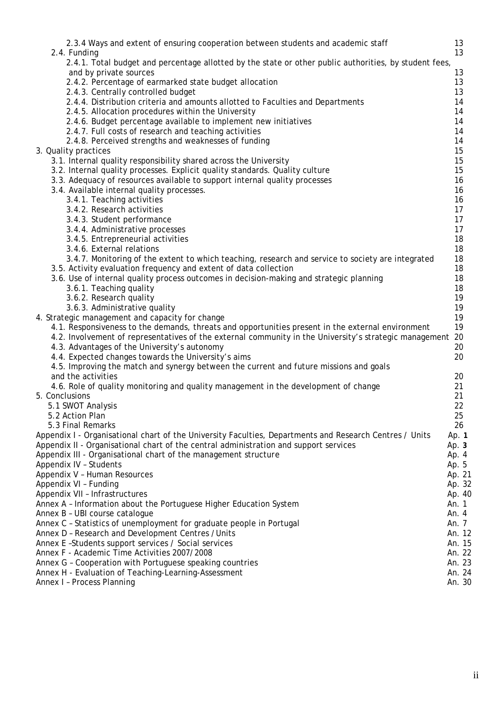| 2.3.4 Ways and extent of ensuring cooperation between students and academic staff<br>2.4. Funding                                             | 13<br>13 |
|-----------------------------------------------------------------------------------------------------------------------------------------------|----------|
| 2.4.1. Total budget and percentage allotted by the state or other public authorities, by student fees,                                        |          |
| and by private sources                                                                                                                        | 13       |
| 2.4.2. Percentage of earmarked state budget allocation                                                                                        | 13       |
| 2.4.3. Centrally controlled budget                                                                                                            | 13       |
| 2.4.4. Distribution criteria and amounts allotted to Faculties and Departments                                                                | 14       |
| 2.4.5. Allocation procedures within the University                                                                                            | 14       |
| 2.4.6. Budget percentage available to implement new initiatives                                                                               | 14       |
| 2.4.7. Full costs of research and teaching activities                                                                                         | 14       |
| 2.4.8. Perceived strengths and weaknesses of funding                                                                                          | 14       |
| 3. Quality practices                                                                                                                          | 15       |
| 3.1. Internal quality responsibility shared across the University                                                                             | 15       |
| 3.2. Internal quality processes. Explicit quality standards. Quality culture                                                                  | 15       |
| 3.3. Adequacy of resources available to support internal quality processes                                                                    | 16       |
| 3.4. Available internal quality processes.                                                                                                    | 16       |
| 3.4.1. Teaching activities                                                                                                                    | 16       |
| 3.4.2. Research activities                                                                                                                    | 17       |
| 3.4.3. Student performance                                                                                                                    | 17       |
| 3.4.4. Administrative processes                                                                                                               | 17       |
| 3.4.5. Entrepreneurial activities                                                                                                             | 18       |
| 3.4.6. External relations                                                                                                                     | 18       |
| 3.4.7. Monitoring of the extent to which teaching, research and service to society are integrated                                             | 18       |
| 3.5. Activity evaluation frequency and extent of data collection                                                                              | 18       |
| 3.6. Use of internal quality process outcomes in decision-making and strategic planning                                                       | 18       |
| 3.6.1. Teaching quality                                                                                                                       | 18       |
| 3.6.2. Research quality                                                                                                                       | 19       |
| 3.6.3. Administrative quality                                                                                                                 | 19       |
| 4. Strategic management and capacity for change                                                                                               | 19       |
| 4.1. Responsiveness to the demands, threats and opportunities present in the external environment                                             | 19       |
|                                                                                                                                               | 20       |
| 4.2. Involvement of representatives of the external community in the University's strategic management                                        | 20       |
| 4.3. Advantages of the University's autonomy                                                                                                  | 20       |
| 4.4. Expected changes towards the University's aims<br>4.5. Improving the match and synergy between the current and future missions and goals |          |
|                                                                                                                                               |          |
| and the activities                                                                                                                            | 20       |
| 4.6. Role of quality monitoring and quality management in the development of change                                                           | 21       |
| 5. Conclusions                                                                                                                                | 21       |
| 5.1 SWOT Analysis                                                                                                                             | 22       |
| 5.2 Action Plan                                                                                                                               | 25       |
| 5.3 Final Remarks                                                                                                                             | 26       |
| Appendix I - Organisational chart of the University Faculties, Departments and Research Centres / Units                                       | Ap. 1    |
| Appendix II - Organisational chart of the central administration and support services                                                         | Ap. 3    |
| Appendix III - Organisational chart of the management structure                                                                               | Ap. 4    |
| Appendix IV - Students                                                                                                                        | Ap. 5    |
| Appendix V - Human Resources                                                                                                                  | Ap. 21   |
| Appendix VI - Funding                                                                                                                         | Ap. 32   |
| Appendix VII - Infrastructures                                                                                                                | Ap. 40   |
| Annex A - Information about the Portuguese Higher Education System                                                                            | An. 1    |
| Annex B - UBI course catalogue                                                                                                                | An. 4    |
| Annex C - Statistics of unemployment for graduate people in Portugal                                                                          | An. 7    |
| Annex D - Research and Development Centres / Units                                                                                            | An. 12   |
| Annex E-Students support services / Social services                                                                                           | An. 15   |
| Annex F - Academic Time Activities 2007/2008                                                                                                  | An. 22   |
| Annex G - Cooperation with Portuguese speaking countries                                                                                      | An. 23   |
| Annex H - Evaluation of Teaching-Learning-Assessment                                                                                          | An. 24   |
| Annex I - Process Planning                                                                                                                    | An. 30   |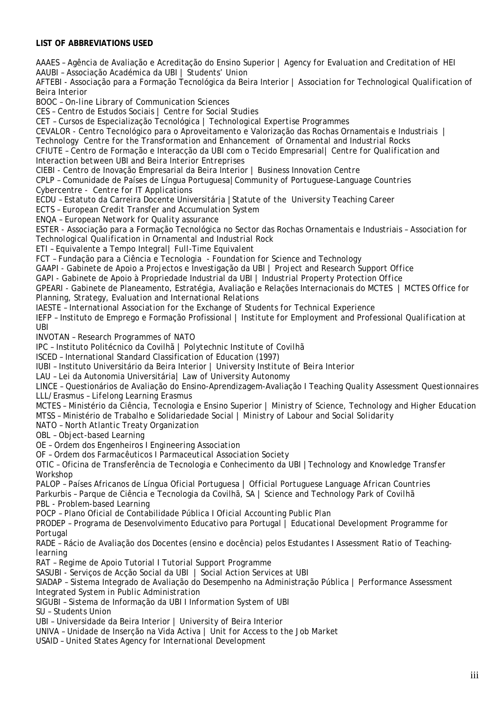## **LIST OF ABBREVIATIONS USED**

AAAES – Agência de Avaliação e Acreditação do Ensino Superior | *Agency for Evaluation and Creditation of HEI*  AAUBI – Associação Académica da UBI | *Students' Union* 

AFTEBI - Associação para a Formação Tecnológica da Beira Interior | *Association for Technological Qualification of Beira Interior* 

BOOC – *On-line Library of Communication Sciences*

CES – Centro de Estudos Sociais | *Centre for Social Studies*

CET – Cursos de Especialização Tecnológica | *Technological Expertise Programmes* 

CEVALOR - Centro Tecnológico para o Aproveitamento e Valorização das Rochas Ornamentais e Industriais | *Technology Centre for the Transformation and Enhancement of Ornamental and Industrial Rocks* 

CFIUTE – Centro de Formação e Interacção da UBI com o Tecido Empresarial| *Centre for Qualification and Interaction between UBI and Beira Interior Entreprises* 

CIEBI - Centro de Inovação Empresarial da Beira Interior | *Business Innovation Centre* 

CPLP – Comunidade de Países de Língua Portuguesa|*Community of Portuguese-Language Countries*

Cybercentre - *Centre for IT Applications* 

ECDU – Estatuto da Carreira Docente Universitária |*Statute of the University Teaching Career* 

ECTS – *European Credit Transfer and Accumulation System* 

ENQA – *European Network for Quality assurance* 

ESTER - Associação para a Formação Tecnológica no Sector das Rochas Ornamentais e Industriais – *Association for Technological Qualification in Ornamental and Industrial Rock*

ETI – Equivalente a Tempo Integral| *Full-Time Equivalent*

FCT – Fundação para a Ciência e Tecnologia - *Foundation for Science and Technology* 

GAAPI - Gabinete de Apoio a Projectos e Investigação da UBI | *Project and Research Support Office*

GAPI - Gabinete de Apoio à Propriedade Industrial da UBI | *Industrial Property Protection Office*

GPEARI - Gabinete de Planeamento, Estratégia, Avaliação e Relações Internacionais do MCTES | *MCTES Office for Planning, Strategy, Evaluation and International Relations* 

IAESTE – *International Association for the Exchange of Students for Technical Experience*

IEFP – Instituto de Emprego e Formação Profissional | *Institute for Employment and Professional Qualification at UBI*

INVOTAN – *Research Programmes of NATO*

IPC – Instituto Politécnico da Covilhã | *Polytechnic Institute of Covilhã*

ISCED – International Standard Classification of Education (1997)

IUBI – Instituto Universitário da Beira Interior | *University Institute of Beira Interior*

LAU – Lei da Autonomia Universitária| *Law of University Autonomy* 

LINCE – Questionários de Avaliação do Ensino-Aprendizagem-Avaliação I *Teaching Quality Assessment Questionnaires* LLL/Erasmus – *Lifelong Learning Erasmus*

MCTES – Ministério da Ciência, Tecnologia e Ensino Superior | *Ministry of Science, Technology and Higher Education* MTSS – Ministério de Trabalho e Solidariedade Social | *Ministry of Labour and Social Solidarity*

NATO – *North Atlantic Treaty Organization*

OBL – *Object-based Learning*

OE – Ordem dos Engenheiros I *Engineering Association*

OF – Ordem dos Farmacêuticos I *Parmaceutical Association Society*

OTIC – Oficina de Transferência de Tecnologia e Conhecimento da UBI |*Technology and Knowledge Transfer Workshop* 

PALOP – Países Africanos de Língua Oficial Portuguesa | *Official Portuguese Language African Countries* Parkurbis – Parque de Ciência e Tecnologia da Covilhã, SA | *Science and Technology Park of Covilhã*  PBL - *Problem-based Learning*

POCP – Plano Oficial de Contabilidade Pública I *Oficial Accounting Public Plan*

PRODEP – Programa de Desenvolvimento Educativo para Portugal | *Educational Development Programme for Portugal* 

RADE – Rácio de Avaliação dos Docentes (ensino e docência) pelos Estudantes I *Assessment Ratio of Teachinglearning*

RAT – Regime de Apoio Tutorial I *Tutorial Support Programme*

SASUBI - Serviços de Acção Social da UBI | *Social Action Services at UBI* 

SIADAP – Sistema Integrado de Avaliação do Desempenho na Administração Pública | *Performance Assessment Integrated System in Public Administration* 

SIGUBI – Sistema de Informação da UBI I *Information System of UBI*

SU – *Students Union*

UBI – Universidade da Beira Interior | *University of Beira Interior*

UNIVA – Unidade de Inserção na Vida Activa | *Unit for Access to the Job Market*

USAID – *United States Agency for International Development*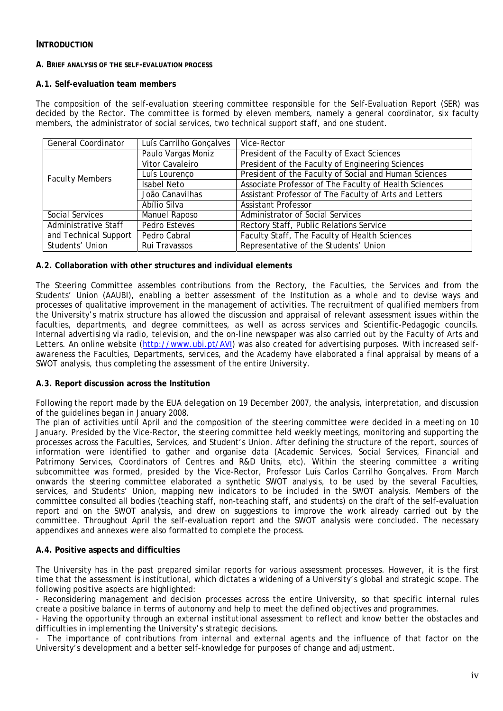# **INTRODUCTION**

#### **A. BRIEF ANALYSIS OF THE SELF-EVALUATION PROCESS**

#### **A.1. Self-evaluation team members**

The composition of the self-evaluation steering committee responsible for the Self-Evaluation Report (SER) was decided by the Rector. The committee is formed by eleven members, namely a general coordinator, six faculty members, the administrator of social services, two technical support staff, and one student.

| <b>General Coordinator</b> | Luís Carrilho Gonçalves | Vice-Rector                                            |  |  |
|----------------------------|-------------------------|--------------------------------------------------------|--|--|
|                            | Paulo Vargas Moniz      | President of the Faculty of Exact Sciences             |  |  |
|                            | Vitor Cavaleiro         | President of the Faculty of Engineering Sciences       |  |  |
| <b>Faculty Members</b>     | Luís Lourenço           | President of the Faculty of Social and Human Sciences  |  |  |
|                            | <b>Isabel Neto</b>      | Associate Professor of The Faculty of Health Sciences  |  |  |
|                            | João Canavilhas         | Assistant Professor of The Faculty of Arts and Letters |  |  |
|                            | Abílio Silva            | <b>Assistant Professor</b>                             |  |  |
| Social Services            | Manuel Raposo           | Administrator of Social Services                       |  |  |
| Administrative Staff       | Pedro Esteves           | Rectory Staff, Public Relations Service                |  |  |
| and Technical Support      | Pedro Cabral            | Faculty Staff, The Faculty of Health Sciences          |  |  |
| Students' Union            | Rui Travassos           | Representative of the Students' Union                  |  |  |

#### **A.2. Collaboration with other structures and individual elements**

The Steering Committee assembles contributions from the Rectory, the Faculties, the Services and from the Students' Union (AAUBI), enabling a better assessment of the Institution as a whole and to devise ways and processes of qualitative improvement in the management of activities. The recruitment of qualified members from the University's matrix structure has allowed the discussion and appraisal of relevant assessment issues within the faculties, departments, and degree committees, as well as across services and Scientific-Pedagogic councils. Internal advertising via radio, television, and the on-line newspaper was also carried out by the Faculty of Arts and Letters. An online website (<http://www.ubi.pt/AVI>) was also created for advertising purposes. With increased selfawareness the Faculties, Departments, services, and the Academy have elaborated a final appraisal by means of a SWOT analysis, thus completing the assessment of the entire University.

## **A.3. Report discussion across the Institution**

Following the report made by the EUA delegation on 19 December 2007, the analysis, interpretation, and discussion of the guidelines began in January 2008.

The plan of activities until April and the composition of the steering committee were decided in a meeting on 10 January. Presided by the Vice-Rector, the steering committee held weekly meetings, monitoring and supporting the processes across the Faculties, Services, and Student's Union. After defining the structure of the report, sources of information were identified to gather and organise data (Academic Services, Social Services, Financial and Patrimony Services, Coordinators of Centres and R&D Units, etc). Within the steering committee a writing subcommittee was formed, presided by the Vice-Rector, Professor Luís Carlos Carrilho Gonçalves. From March onwards the steering committee elaborated a synthetic SWOT analysis, to be used by the several Faculties, services, and Students' Union, mapping new indicators to be included in the SWOT analysis. Members of the committee consulted all bodies (teaching staff, non-teaching staff, and students) on the draft of the self-evaluation report and on the SWOT analysis, and drew on suggestions to improve the work already carried out by the committee. Throughout April the self-evaluation report and the SWOT analysis were concluded. The necessary appendixes and annexes were also formatted to complete the process.

# **A.4. Positive aspects and difficulties**

The University has in the past prepared similar reports for various assessment processes. However, it is the first time that the assessment is institutional, which dictates a widening of a University's global and strategic scope. The following positive aspects are highlighted:

- Reconsidering management and decision processes across the entire University, so that specific internal rules create a positive balance in terms of autonomy and help to meet the defined objectives and programmes.

- Having the opportunity through an external institutional assessment to reflect and know better the obstacles and difficulties in implementing the University's strategic decisions.

The importance of contributions from internal and external agents and the influence of that factor on the University's development and a better self-knowledge for purposes of change and adjustment.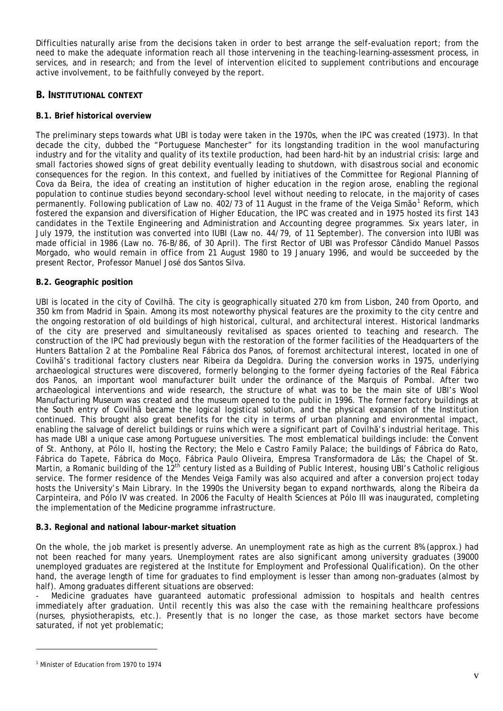Difficulties naturally arise from the decisions taken in order to best arrange the self-evaluation report; from the need to make the adequate information reach all those intervening in the teaching-learning-assessment process, in services, and in research; and from the level of intervention elicited to supplement contributions and encourage active involvement, to be faithfully conveyed by the report.

# **B. INSTITUTIONAL CONTEXT**

# **B.1. Brief historical overview**

The preliminary steps towards what UBI is today were taken in the 1970s, when the IPC was created (1973). In that decade the city, dubbed the "Portuguese Manchester" for its longstanding tradition in the wool manufacturing industry and for the vitality and quality of its textile production, had been hard-hit by an industrial crisis: large and small factories showed signs of great debility eventually leading to shutdown, with disastrous social and economic consequences for the region. In this context, and fuelled by initiatives of the Committee for Regional Planning of Cova da Beira, the idea of creating an institution of higher education in the region arose, enabling the regional population to continue studies beyond secondary-school level without needing to relocate, in the majority of cases permanently. Following publication of Law no. 402/73 of [1](#page-5-0)1 August in the frame of the Veiga Simão<sup>1</sup> Reform, which fostered the expansion and diversification of Higher Education, the IPC was created and in 1975 hosted its first 143 candidates in the Textile Engineering and Administration and Accounting degree programmes. Six years later, in July 1979, the institution was converted into IUBI (Law no. 44/79, of 11 September). The conversion into IUBI was made official in 1986 (Law no. 76-B/86, of 30 April). The first Rector of UBI was Professor Cândido Manuel Passos Morgado, who would remain in office from 21 August 1980 to 19 January 1996, and would be succeeded by the present Rector, Professor Manuel José dos Santos Silva.

## **B.2. Geographic position**

UBI is located in the city of Covilhã. The city is geographically situated 270 km from Lisbon, 240 from Oporto, and 350 km from Madrid in Spain. Among its most noteworthy physical features are the proximity to the city centre and the ongoing restoration of old buildings of high historical, cultural, and architectural interest. Historical landmarks of the city are preserved and simultaneously revitalised as spaces oriented to teaching and research. The construction of the IPC had previously begun with the restoration of the former facilities of the Headquarters of the Hunters Battalion 2 at the Pombaline Real Fábrica dos Panos, of foremost architectural interest, located in one of Covilhã's traditional factory clusters near Ribeira da Degoldra. During the conversion works in 1975, underlying archaeological structures were discovered, formerly belonging to the former dyeing factories of the Real Fábrica dos Panos, an important wool manufacturer built under the ordinance of the Marquis of Pombal. After two archaeological interventions and wide research, the structure of what was to be the main site of UBI's Wool Manufacturing Museum was created and the museum opened to the public in 1996. The former factory buildings at the South entry of Covilhã became the logical logistical solution, and the physical expansion of the Institution continued. This brought also great benefits for the city in terms of urban planning and environmental impact, enabling the salvage of derelict buildings or ruins which were a significant part of Covilhã's industrial heritage. This has made UBI a unique case among Portuguese universities. The most emblematical buildings include: the Convent of St. Anthony, at Pólo II, hosting the Rectory; the Melo e Castro Family Palace; the buildings of Fábrica do Rato, Fábrica do Tapete, Fábrica do Moço, Fábrica Paulo Oliveira, Empresa Transformadora de Lãs; the Chapel of St. Martin, a Romanic building of the 12<sup>th</sup> century listed as a Building of Public Interest, housing UBI's Catholic religious service. The former residence of the Mendes Veiga Family was also acquired and after a conversion project today hosts the University's Main Library. In the 1990s the University began to expand northwards, along the Ribeira da Carpinteira, and Pólo IV was created. In 2006 the Faculty of Health Sciences at Pólo III was inaugurated, completing the implementation of the Medicine programme infrastructure.

## **B.3. Regional and national labour-market situation**

On the whole, the job market is presently adverse. An unemployment rate as high as the current 8% (approx.) had not been reached for many years. Unemployment rates are also significant among university graduates (39000 unemployed graduates are registered at the Institute for Employment and Professional Qualification). On the other hand, the average length of time for graduates to find employment is lesser than among non-graduates (almost by half). Among graduates different situations are observed:

- Medicine graduates have guaranteed automatic professional admission to hospitals and health centres immediately after graduation. Until recently this was also the case with the remaining healthcare professions (nurses, physiotherapists, etc.). Presently that is no longer the case, as those market sectors have become saturated, if not yet problematic;

 $\overline{a}$ 

<span id="page-5-0"></span><sup>1</sup> Minister of Education from 1970 to 1974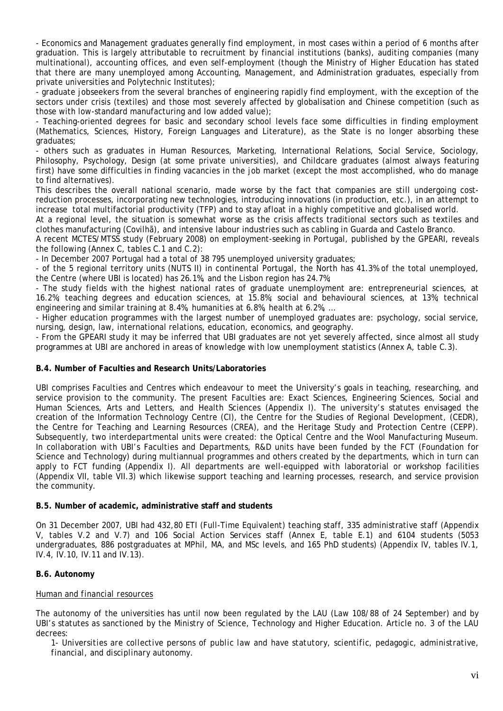- Economics and Management graduates generally find employment, in most cases within a period of 6 months after graduation. This is largely attributable to recruitment by financial institutions (banks), auditing companies (many multinational), accounting offices, and even self-employment (though the Ministry of Higher Education has stated that there are many unemployed among Accounting, Management, and Administration graduates, especially from private universities and Polytechnic Institutes);

- graduate jobseekers from the several branches of engineering rapidly find employment, with the exception of the sectors under crisis (textiles) and those most severely affected by globalisation and Chinese competition (such as those with low-standard manufacturing and low added value);

- Teaching-oriented degrees for basic and secondary school levels face some difficulties in finding employment (Mathematics, Sciences, History, Foreign Languages and Literature), as the State is no longer absorbing these graduates;

- others such as graduates in Human Resources, Marketing, International Relations, Social Service, Sociology, Philosophy, Psychology, Design (at some private universities), and Childcare graduates (almost always featuring first) have some difficulties in finding vacancies in the job market (except the most accomplished, who do manage to find alternatives).

This describes the overall national scenario, made worse by the fact that companies are still undergoing costreduction processes, incorporating new technologies, introducing innovations (in production, etc.), in an attempt to increase total multifactorial productivity (TFP) and to stay afloat in a highly competitive and globalised world.

At a regional level, the situation is somewhat worse as the crisis affects traditional sectors such as textiles and clothes manufacturing (Covilhã), and intensive labour industries such as cabling in Guarda and Castelo Branco.

A recent MCTES/MTSS study (February 2008) on employment-seeking in Portugal, published by the GPEARI, reveals the following (Annex C, tables C.1 and C.2):

- In December 2007 Portugal had a total of 38 795 unemployed university graduates;

- of the 5 regional territory units (NUTS II) in continental Portugal, the North has 41.3% of the total unemployed, the Centre (where UBI is located) has 26.1%, and the Lisbon region has 24.7%;

- The study fields with the highest national rates of graduate unemployment are: entrepreneurial sciences, at 16.2%; teaching degrees and education sciences, at 15.8%; social and behavioural sciences, at 13%; technical engineering and similar training at 8.4%, humanities at 6.8%, health at 6.2%, …

- Higher education programmes with the largest number of unemployed graduates are: psychology, social service, nursing, design, law, international relations, education, economics, and geography.

- From the GPEARI study it may be inferred that UBI graduates are not yet severely affected, since almost all study programmes at UBI are anchored in areas of knowledge with low unemployment statistics (Annex A, table C.3).

## **B.4. Number of Faculties and Research Units/Laboratories**

UBI comprises Faculties and Centres which endeavour to meet the University's goals in teaching, researching, and service provision to the community. The present Faculties are: Exact Sciences, Engineering Sciences, Social and Human Sciences, Arts and Letters, and Health Sciences (Appendix I). The university's statutes envisaged the creation of the Information Technology Centre (CI), the Centre for the Studies of Regional Development, (CEDR), the Centre for Teaching and Learning Resources (CREA), and the Heritage Study and Protection Centre (CEPP). Subsequently, two interdepartmental units were created: the Optical Centre and the Wool Manufacturing Museum. In collaboration with UBI's Faculties and Departments, R&D units have been funded by the FCT (Foundation for Science and Technology) during multiannual programmes and others created by the departments, which in turn can apply to FCT funding (Appendix I). All departments are well-equipped with laboratorial or workshop facilities (Appendix VII, table VII.3) which likewise support teaching and learning processes, research, and service provision the community.

#### **B.5. Number of academic, administrative staff and students**

On 31 December 2007, UBI had 432,80 ETI (Full-Time Equivalent) teaching staff, 335 administrative staff (Appendix V, tables V.2 and V.7) and 106 Social Action Services staff (Annex E, table E.1) and 6104 students (5053 undergraduates, 886 postgraduates at MPhil, MA, and MSc levels, and 165 PhD students) (Appendix IV, tables IV.1, IV.4, IV.10, IV.11 and IV.13).

## **B.6. Autonomy**

## *Human and financial resources*

The autonomy of the universities has until now been regulated by the LAU (Law 108/88 of 24 September) and by UBI's statutes as sanctioned by the Ministry of Science, Technology and Higher Education. Article no. 3 of the LAU decrees:

*1- Universities are collective persons of public law and have statutory, scientific, pedagogic, administrative, financial, and disciplinary autonomy.*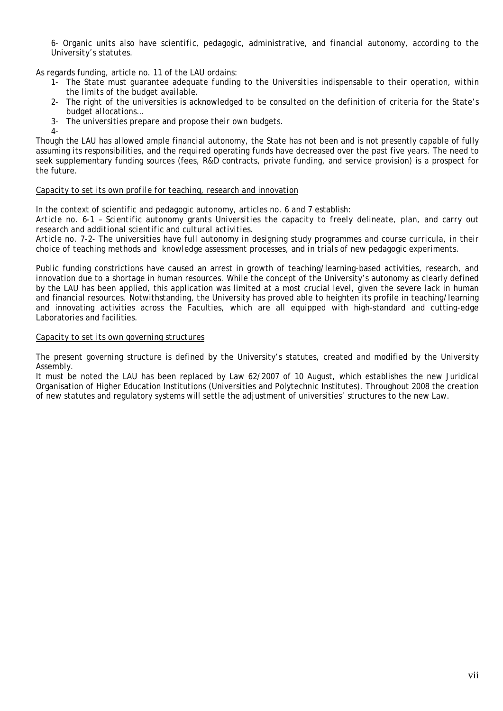*6- Organic units also have scientific, pedagogic, administrative, and financial autonomy, according to the University's statutes.* 

As regards funding, article no. 11 of the LAU ordains:

 $\Delta$ -

- 1- *The State must guarantee adequate funding to the Universities indispensable to their operation, within the limits of the budget available.*
- 2- *The right of the universities is acknowledged to be consulted on the definition of criteria for the State's budget allocations…*
- 3- *The universities prepare and propose their own budgets.*

Though the LAU has allowed ample financial autonomy, the State has not been and is not presently capable of fully assuming its responsibilities, and the required operating funds have decreased over the past five years. The need to seek supplementary funding sources (fees, R&D contracts, private funding, and service provision) is a prospect for the future.

#### *Capacity to set its own profile for teaching, research and innovation*

In the context of scientific and pedagogic autonomy, articles no. 6 and 7 establish:

*Article no. 6-1 – Scientific autonomy grants Universities the capacity to freely delineate, plan, and carry out research and additional scientific and cultural activities.* 

*Article no. 7-2- The universities have full autonomy in designing study programmes and course curricula, in their choice of teaching methods and knowledge assessment processes, and in trials of new pedagogic experiments.* 

Public funding constrictions have caused an arrest in growth of teaching/learning-based activities, research, and innovation due to a shortage in human resources. While the concept of the University's autonomy as clearly defined by the LAU has been applied, this application was limited at a most crucial level, given the severe lack in human and financial resources. Notwithstanding, the University has proved able to heighten its profile in teaching/learning and innovating activities across the Faculties, which are all equipped with high-standard and cutting-edge Laboratories and facilities.

#### *Capacity to set its own governing structures*

The present governing structure is defined by the University's statutes, created and modified by the University Assembly.

It must be noted the LAU has been replaced by Law 62/2007 of 10 August, which establishes the new Juridical Organisation of Higher Education Institutions (Universities and Polytechnic Institutes). Throughout 2008 the creation of new statutes and regulatory systems will settle the adjustment of universities' structures to the new Law.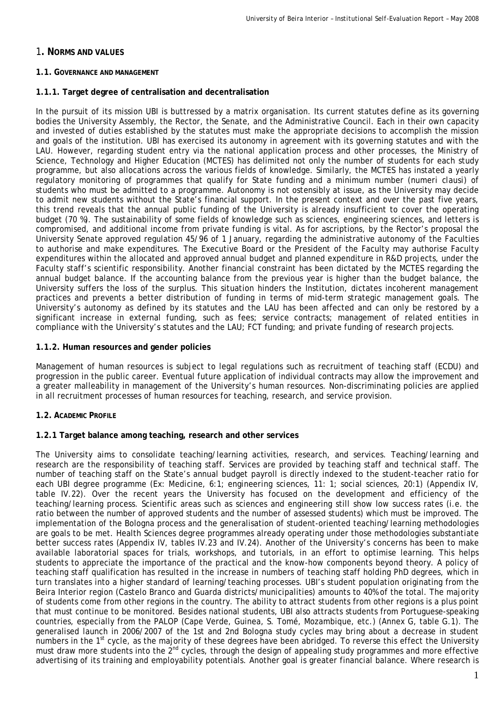# 1**. NORMS AND VALUES**

#### **1.1. GOVERNANCE AND MANAGEMENT**

## **1.1.1. Target degree of centralisation and decentralisation**

In the pursuit of its mission UBI is buttressed by a matrix organisation. Its current statutes define as its governing bodies the University Assembly, the Rector, the Senate, and the Administrative Council. Each in their own capacity and invested of duties established by the statutes must make the appropriate decisions to accomplish the mission and goals of the institution. UBI has exercised its autonomy in agreement with its governing statutes and with the LAU. However, regarding student entry via the national application process and other processes, the Ministry of Science, Technology and Higher Education (MCTES) has delimited not only the number of students for each study programme, but also allocations across the various fields of knowledge. Similarly, the MCTES has instated a yearly regulatory monitoring of programmes that qualify for State funding and a minimum number (*numeri clausi*) of students who must be admitted to a programme. Autonomy is not ostensibly at issue, as the University may decide to admit new students without the State's financial support. In the present context and over the past five years, this trend reveals that the annual public funding of the University is already insufficient to cover the operating budget (70 %). The sustainability of some fields of knowledge such as sciences, engineering sciences, and letters is compromised, and additional income from private funding is vital. As for ascriptions, by the Rector's proposal the University Senate approved regulation 45/96 of 1 January, regarding the administrative autonomy of the Faculties to authorise and make expenditures. The Executive Board or the President of the Faculty may authorise Faculty expenditures within the allocated and approved annual budget and planned expenditure in R&D projects, under the Faculty staff's scientific responsibility. Another financial constraint has been dictated by the MCTES regarding the annual budget balance. If the accounting balance from the previous year is higher than the budget balance, the University suffers the loss of the surplus. This situation hinders the Institution, dictates incoherent management practices and prevents a better distribution of funding in terms of mid-term strategic management goals. The University's autonomy as defined by its statutes and the LAU has been affected and can only be restored by a significant increase in external funding, such as fees; service contracts; management of related entities in compliance with the University's statutes and the LAU; FCT funding; and private funding of research projects.

#### **1.1.2. Human resources and gender policies**

Management of human resources is subject to legal regulations such as recruitment of teaching staff (ECDU) and progression in the public career. Eventual future application of individual contracts may allow the improvement and a greater malleability in management of the University's human resources. Non-discriminating policies are applied in all recruitment processes of human resources for teaching, research, and service provision.

## **1.2. ACADEMIC PROFILE**

## **1.2.1 Target balance among teaching, research and other services**

The University aims to consolidate teaching/learning activities, research, and services. Teaching/learning and research are the responsibility of teaching staff. Services are provided by teaching staff and technical staff. The number of teaching staff on the State's annual budget payroll is directly indexed to the student-teacher ratio for each UBI degree programme (*Ex: Medicine, 6:1; engineering sciences, 11: 1; social sciences, 20:1)* (Appendix IV, table IV.22)*.* Over the recent years the University has focused on the development and efficiency of the teaching/learning process. Scientific areas such as sciences and engineering still show low success rates (i.e. the ratio between the number of approved students and the number of assessed students) which must be improved. The implementation of the Bologna process and the generalisation of student-oriented teaching/learning methodologies are goals to be met. Health Sciences degree programmes already operating under those methodologies substantiate better success rates (Appendix IV, tables IV.23 and IV.24). Another of the University's concerns has been to make available laboratorial spaces for trials, workshops, and tutorials, in an effort to optimise learning. This helps students to appreciate the importance of the practical and the know-how components beyond theory. A policy of teaching staff qualification has resulted in the increase in numbers of teaching staff holding PhD degrees, which in turn translates into a higher standard of learning/teaching processes. UBI's student population originating from the Beira Interior region (Castelo Branco and Guarda districts/municipalities) amounts to 40% of the total. The majority of students come from other regions in the country. The ability to attract students from other regions is a plus point that must continue to be monitored. Besides national students, UBI also attracts students from Portuguese-speaking countries, especially from the PALOP (Cape Verde, Guinea, S. Tomé, Mozambique, etc.) (Annex G, table G.1). The generalised launch in 2006/2007 of the 1st and 2nd Bologna study cycles may bring about a decrease in student numbers in the 1<sup>st</sup> cycle, as the majority of these degrees have been abridged. To reverse this effect the University must draw more students into the  $2^{nd}$  cycles, through the design of appealing study programmes and more effective advertising of its training and employability potentials. Another goal is greater financial balance. Where research is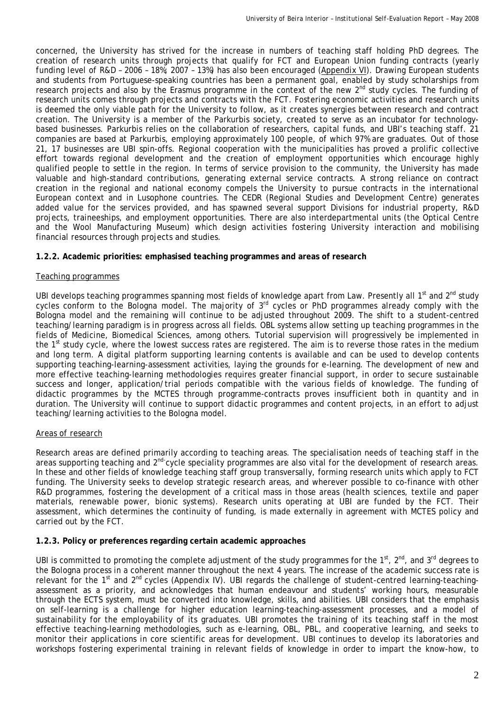concerned, the University has strived for the increase in numbers of teaching staff holding PhD degrees. The creation of research units through projects that qualify for FCT and European Union funding contracts *(yearly funding level of R&D – 2006 – 18%; 2007 – 13%)* has also been encouraged (Appendix VI). Drawing European students and students from Portuguese-speaking countries has been a permanent goal, enabled by study scholarships from research projects and also by the Erasmus programme in the context of the new 2<sup>nd</sup> study cycles. The funding of research units comes through projects and contracts with the FCT. Fostering economic activities and research units is deemed the only viable path for the University to follow, as it creates synergies between research and contract creation. The University is a member of the Parkurbis society, created to serve as an incubator for technologybased businesses. Parkurbis relies on the collaboration of researchers, capital funds, and UBI's teaching staff. 21 companies are based at Parkurbis, employing approximately 100 people, of which 97% are graduates. Out of those 21, 17 businesses are UBI spin-offs. Regional cooperation with the municipalities has proved a prolific collective effort towards regional development and the creation of employment opportunities which encourage highly qualified people to settle in the region. In terms of service provision to the community, the University has made valuable and high-standard contributions, generating external service contracts. A strong reliance on contract creation in the regional and national economy compels the University to pursue contracts in the international European context and in Lusophone countries. The CEDR (Regional Studies and Development Centre) generates added value for the services provided, and has spawned several support Divisions for industrial property, R&D projects, traineeships, and employment opportunities. There are also interdepartmental units (the Optical Centre and the Wool Manufacturing Museum) which design activities fostering University interaction and mobilising financial resources through projects and studies.

# **1.2.2. Academic priorities: emphasised teaching programmes and areas of research**

# *Teaching programmes*

UBI develops teaching programmes spanning most fields of knowledge apart from Law. Presently all 1<sup>st</sup> and 2<sup>nd</sup> study cycles conform to the Bologna model. The majority of 3<sup>rd</sup> cycles or PhD programmes already comply with the Bologna model and the remaining will continue to be adjusted throughout 2009. The shift to a student-centred teaching/learning paradigm is in progress across all fields. OBL systems allow setting up teaching programmes in the fields of Medicine, Biomedical Sciences, among others. Tutorial supervision will progressively be implemented in the 1<sup>st</sup> study cycle, where the lowest success rates are registered. The aim is to reverse those rates in the medium and long term. A digital platform supporting learning contents is available and can be used to develop contents supporting teaching-learning-assessment activities, laying the grounds for e-learning. The development of new and more effective teaching-learning methodologies requires greater financial support, in order to secure sustainable success and longer, application/trial periods compatible with the various fields of knowledge. The funding of didactic programmes by the MCTES through programme-contracts proves insufficient both in quantity and in duration. The University will continue to support didactic programmes and content projects, in an effort to adjust teaching/learning activities to the Bologna model.

# *Areas of research*

Research areas are defined primarily according to teaching areas. The specialisation needs of teaching staff in the areas supporting teaching and 2<sup>nd-</sup>cycle speciality programmes are also vital for the development of research areas. In these and other fields of knowledge teaching staff group transversally, forming research units which apply to FCT funding. The University seeks to develop strategic research areas, and wherever possible to co-finance with other R&D programmes, fostering the development of a critical mass in those areas (health sciences, textile and paper materials, renewable power, bionic systems). Research units operating at UBI are funded by the FCT. Their assessment, which determines the continuity of funding, is made externally in agreement with MCTES policy and carried out by the FCT.

## **1.2.3. Policy or preferences regarding certain academic approaches**

UBI is committed to promoting the complete adjustment of the study programmes for the 1<sup>st</sup>, 2<sup>nd</sup>, and 3<sup>rd</sup> degrees to the Bologna process in a coherent manner throughout the next 4 years. The increase of the academic success rate is relevant for the 1st and 2nd cycles (Appendix IV*).* UBI regards the challenge of student-centred learning-teachingassessment as a priority, and acknowledges that human endeavour and students' working hours, measurable through the ECTS system, must be converted into knowledge, skills, and abilities. UBI considers that the emphasis on self-learning is a challenge for higher education learning-teaching-assessment processes, and a model of sustainability for the employability of its graduates. UBI promotes the training of its teaching staff in the most effective teaching-learning methodologies, such as e-learning, OBL, PBL, and cooperative learning, and seeks to monitor their applications in core scientific areas for development. UBI continues to develop its laboratories and workshops fostering experimental training in relevant fields of knowledge in order to impart the know-how, to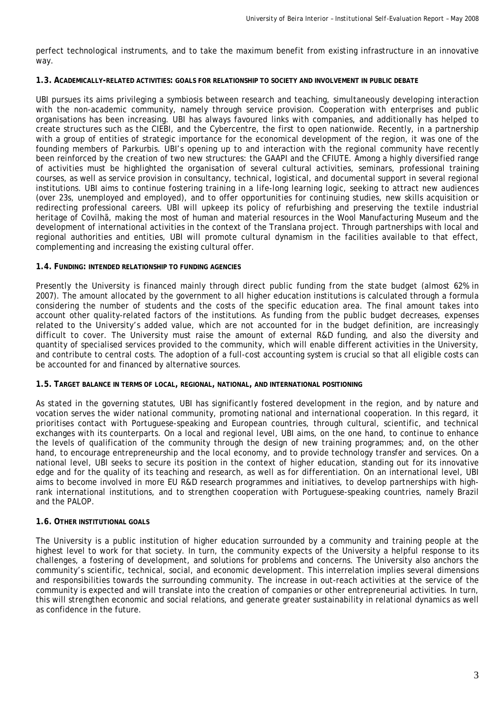perfect technological instruments, and to take the maximum benefit from existing infrastructure in an innovative way.

#### **1.3. ACADEMICALLY-RELATED ACTIVITIES: GOALS FOR RELATIONSHIP TO SOCIETY AND INVOLVEMENT IN PUBLIC DEBATE**

UBI pursues its aims privileging a symbiosis between research and teaching, simultaneously developing interaction with the non-academic community, namely through service provision. Cooperation with enterprises and public organisations has been increasing. UBI has always favoured links with companies, and additionally has helped to create structures such as the CIEBI, and the Cybercentre, the first to open nationwide. Recently, in a partnership with a group of entities of strategic importance for the economical development of the region, it was one of the founding members of Parkurbis. UBI's opening up to and interaction with the regional community have recently been reinforced by the creation of two new structures: the GAAPI and the CFIUTE. Among a highly diversified range of activities must be highlighted the organisation of several cultural activities, seminars, professional training courses, as well as service provision in consultancy, technical, logistical, and documental support in several regional institutions. UBI aims to continue fostering training in a life-long learning logic, seeking to attract new audiences (over 23s, unemployed and employed), and to offer opportunities for continuing studies, new skills acquisition or redirecting professional careers. UBI will upkeep its policy of refurbishing and preserving the textile industrial heritage of Covilhã, making the most of human and material resources in the Wool Manufacturing Museum and the development of international activities in the context of the Translana project. Through partnerships with local and regional authorities and entities, UBI will promote cultural dynamism in the facilities available to that effect, complementing and increasing the existing cultural offer.

#### **1.4. FUNDING: INTENDED RELATIONSHIP TO FUNDING AGENCIES**

Presently the University is financed mainly through direct public funding from the state budget (almost 62% in 2007). The amount allocated by the government to all higher education institutions is calculated through a formula considering the number of students and the costs of the specific education area. The final amount takes into account other quality-related factors of the institutions. As funding from the public budget decreases, expenses related to the University's added value, which are not accounted for in the budget definition, are increasingly difficult to cover. The University must raise the amount of external R&D funding, and also the diversity and quantity of specialised services provided to the community, which will enable different activities in the University, and contribute to central costs. The adoption of a full-cost accounting system is crucial so that all eligible costs can be accounted for and financed by alternative sources.

#### **1.5. TARGET BALANCE IN TERMS OF LOCAL, REGIONAL, NATIONAL, AND INTERNATIONAL POSITIONING**

As stated in the governing statutes, UBI has significantly fostered development in the region, and by nature and vocation serves the wider national community, promoting national and international cooperation. In this regard, it prioritises contact with Portuguese-speaking and European countries, through cultural, scientific, and technical exchanges with its counterparts. On a local and regional level, UBI aims, on the one hand, to continue to enhance the levels of qualification of the community through the design of new training programmes; and, on the other hand, to encourage entrepreneurship and the local economy, and to provide technology transfer and services. On a national level, UBI seeks to secure its position in the context of higher education, standing out for its innovative edge and for the quality of its teaching and research, as well as for differentiation. On an international level, UBI aims to become involved in more EU R&D research programmes and initiatives, to develop partnerships with highrank international institutions, and to strengthen cooperation with Portuguese-speaking countries, namely Brazil and the PALOP.

## **1.6. OTHER INSTITUTIONAL GOALS**

The University is a public institution of higher education surrounded by a community and training people at the highest level to work for that society. In turn, the community expects of the University a helpful response to its challenges, a fostering of development, and solutions for problems and concerns. The University also anchors the community's scientific, technical, social, and economic development. This interrelation implies several dimensions and responsibilities towards the surrounding community. The increase in out-reach activities at the service of the community is expected and will translate into the creation of companies or other entrepreneurial activities. In turn, this will strengthen economic and social relations, and generate greater sustainability in relational dynamics as well as confidence in the future.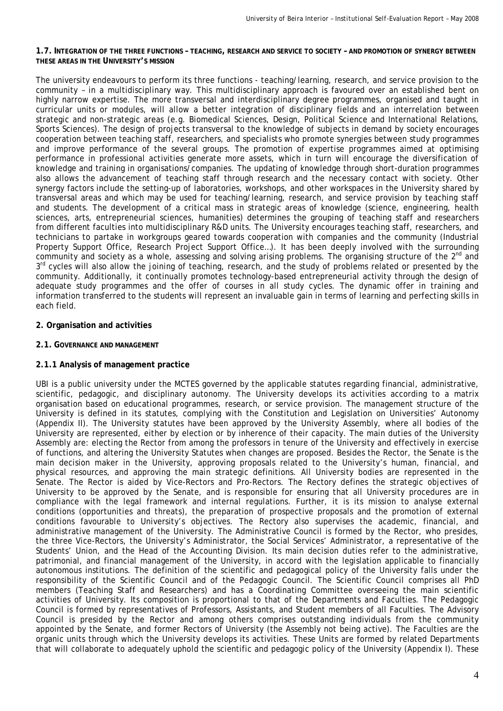#### **1.7. INTEGRATION OF THE THREE FUNCTIONS – TEACHING, RESEARCH AND SERVICE TO SOCIETY – AND PROMOTION OF SYNERGY BETWEEN THESE AREAS IN THE UNIVERSITY'S MISSION**

The university endeavours to perform its three functions - teaching/learning, research, and service provision to the community – in a multidisciplinary way. This multidisciplinary approach is favoured over an established bent on highly narrow expertise. The more transversal and interdisciplinary degree programmes, organised and taught in curricular units or modules, will allow a better integration of disciplinary fields and an interrelation between strategic and non-strategic areas (e.g. Biomedical Sciences, Design, Political Science and International Relations, Sports Sciences). The design of projects transversal to the knowledge of subjects in demand by society encourages cooperation between teaching staff, researchers, and specialists who promote synergies between study programmes and improve performance of the several groups. The promotion of expertise programmes aimed at optimising performance in professional activities generate more assets, which in turn will encourage the diversification of knowledge and training in organisations/companies. The updating of knowledge through short-duration programmes also allows the advancement of teaching staff through research and the necessary contact with society. Other synergy factors include the setting-up of laboratories, workshops, and other workspaces in the University shared by transversal areas and which may be used for teaching/learning, research, and service provision by teaching staff and students. The development of a critical mass in strategic areas of knowledge (science, engineering, health sciences, arts, entrepreneurial sciences, humanities) determines the grouping of teaching staff and researchers from different faculties into multidisciplinary R&D units. The University encourages teaching staff, researchers, and technicians to partake in workgroups geared towards cooperation with companies and the community (Industrial Property Support Office, Research Project Support Office…). It has been deeply involved with the surrounding community and society as a whole, assessing and solving arising problems. The organising structure of the 2<sup>nd</sup> and 3<sup>rd</sup> cycles will also allow the joining of teaching, research, and the study of problems related or presented by the community. Additionally, it continually promotes technology-based entrepreneurial activity through the design of adequate study programmes and the offer of courses in all study cycles. The dynamic offer in training and information transferred to the students will represent an invaluable gain in terms of learning and perfecting skills in each field.

## **2. Organisation and activities**

# **2.1. GOVERNANCE AND MANAGEMENT**

## **2.1.1 Analysis of management practice**

UBI is a public university under the MCTES governed by the applicable statutes regarding financial, administrative, scientific, pedagogic, and disciplinary autonomy. The University develops its activities according to a matrix organisation based on educational programmes, research, or service provision. The management structure of the University is defined in its statutes, complying with the Constitution and Legislation on Universities' Autonomy (Appendix II). The University statutes have been approved by the University Assembly, where all bodies of the University are represented, either by election or by inherence of their capacity. The main duties of the University Assembly are: electing the Rector from among the professors in tenure of the University and effectively in exercise of functions, and altering the University Statutes when changes are proposed. Besides the Rector, the Senate is the main decision maker in the University, approving proposals related to the University's human, financial, and physical resources, and approving the main strategic definitions. All University bodies are represented in the Senate. The Rector is aided by Vice-Rectors and Pro-Rectors. The Rectory defines the strategic objectives of University to be approved by the Senate, and is responsible for ensuring that all University procedures are in compliance with the legal framework and internal regulations. Further, it is its mission to analyse external conditions (opportunities and threats), the preparation of prospective proposals and the promotion of external conditions favourable to University's objectives. The Rectory also supervises the academic, financial, and administrative management of the University. The Administrative Council is formed by the Rector, who presides, the three Vice-Rectors, the University's Administrator, the Social Services' Administrator, a representative of the Students' Union, and the Head of the Accounting Division. Its main decision duties refer to the administrative, patrimonial, and financial management of the University, in accord with the legislation applicable to financially autonomous institutions. The definition of the scientific and pedagogical policy of the University falls under the responsibility of the Scientific Council and of the Pedagogic Council. The Scientific Council comprises all PhD members (Teaching Staff and Researchers) and has a Coordinating Committee overseeing the main scientific activities of University. Its composition is proportional to that of the Departments and Faculties. The Pedagogic Council is formed by representatives of Professors, Assistants, and Student members of all Faculties. The Advisory Council is presided by the Rector and among others comprises outstanding individuals from the community appointed by the Senate, and former Rectors of University (the Assembly not being active). The Faculties are the organic units through which the University develops its activities. These Units are formed by related Departments that will collaborate to adequately uphold the scientific and pedagogic policy of the University (Appendix I). These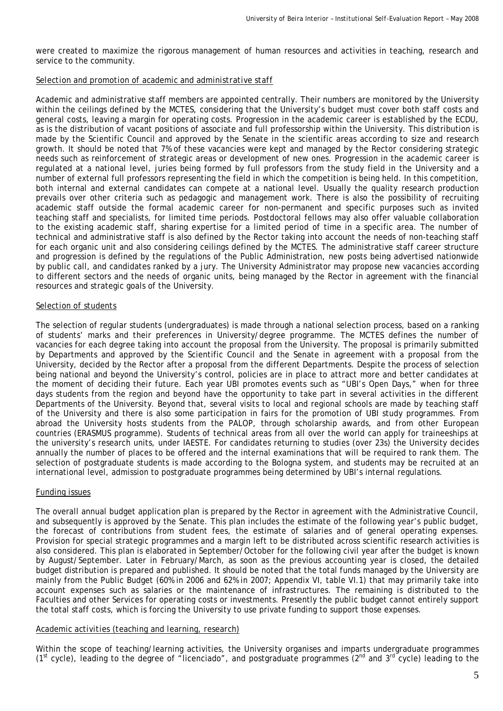were created to maximize the rigorous management of human resources and activities in teaching, research and service to the community.

#### *Selection and promotion of academic and administrative staff*

Academic and administrative staff members are appointed centrally. Their numbers are monitored by the University within the ceilings defined by the MCTES, considering that the University's budget must cover both staff costs and general costs, leaving a margin for operating costs. Progression in the academic career is established by the ECDU, as is the distribution of vacant positions of associate and full professorship within the University. This distribution is made by the Scientific Council and approved by the Senate in the scientific areas according to size and research growth. It should be noted that 7% of these vacancies were kept and managed by the Rector considering strategic needs such as reinforcement of strategic areas or development of new ones. Progression in the academic career is regulated at a national level, juries being formed by full professors from the study field in the University and a number of external full professors representing the field in which the competition is being held. In this competition, both internal and external candidates can compete at a national level. Usually the quality research production prevails over other criteria such as pedagogic and management work. There is also the possibility of recruiting academic staff outside the formal academic career for non-permanent and specific purposes such as invited teaching staff and specialists, for limited time periods. Postdoctoral fellows may also offer valuable collaboration to the existing academic staff, sharing expertise for a limited period of time in a specific area. The number of technical and administrative staff is also defined by the Rector taking into account the needs of non-teaching staff for each organic unit and also considering ceilings defined by the MCTES. The administrative staff career structure and progression is defined by the regulations of the Public Administration, new posts being advertised nationwide by public call, and candidates ranked by a jury. The University Administrator may propose new vacancies according to different sectors and the needs of organic units, being managed by the Rector in agreement with the financial resources and strategic goals of the University.

## *Selection of students*

The selection of regular students (undergraduates) is made through a national selection process, based on a ranking of students' marks and their preferences in University/degree programme. The MCTES defines the number of vacancies for each degree taking into account the proposal from the University. The proposal is primarily submitted by Departments and approved by the Scientific Council and the Senate in agreement with a proposal from the University, decided by the Rector after a proposal from the different Departments. Despite the process of selection being national and beyond the University's control, policies are in place to attract more and better candidates at the moment of deciding their future. Each year UBI promotes events such as "UBI's Open Days," when for three days students from the region and beyond have the opportunity to take part in several activities in the different Departments of the University. Beyond that, several visits to local and regional schools are made by teaching staff of the University and there is also some participation in fairs for the promotion of UBI study programmes. From abroad the University hosts students from the PALOP, through scholarship awards, and from other European countries (ERASMUS programme). Students of technical areas from all over the world can apply for traineeships at the university's research units, under IAESTE. For candidates returning to studies (over 23s) the University decides annually the number of places to be offered and the internal examinations that will be required to rank them. The selection of postgraduate students is made according to the Bologna system, and students may be recruited at an international level, admission to postgraduate programmes being determined by UBI's internal regulations.

## *Funding issues*

The overall annual budget application plan is prepared by the Rector in agreement with the Administrative Council, and subsequently is approved by the Senate. This plan includes the estimate of the following year's public budget, the forecast of contributions from student fees, the estimate of salaries and of general operating expenses. Provision for special strategic programmes and a margin left to be distributed across scientific research activities is also considered. This plan is elaborated in September/October for the following civil year after the budget is known by August/September. Later in February/March, as soon as the previous accounting year is closed, the detailed budget distribution is prepared and published. It should be noted that the total funds managed by the University are mainly from the Public Budget (60% in 2006 and 62% in 2007; Appendix VI, table VI.1) that may primarily take into account expenses such as salaries or the maintenance of infrastructures. The remaining is distributed to the Faculties and other Services for operating costs or investments. Presently the public budget cannot entirely support the total staff costs, which is forcing the University to use private funding to support those expenses.

## *Academic activities (teaching and learning, research)*

Within the scope of teaching/learning activities, the University organises and imparts undergraduate programmes ( $1<sup>st</sup>$  cycle), leading to the degree of "licenciado", and postgraduate programmes ( $2<sup>nd</sup>$  and  $3<sup>rd</sup>$  cycle) leading to the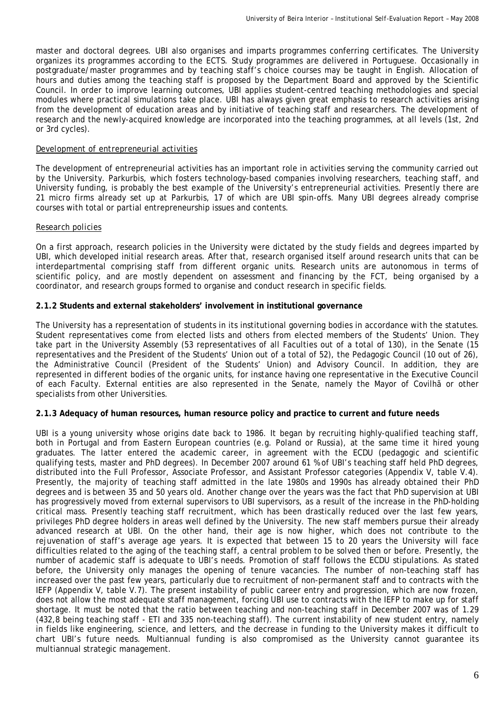master and doctoral degrees. UBI also organises and imparts programmes conferring certificates. The University organizes its programmes according to the ECTS. Study programmes are delivered in Portuguese. Occasionally in postgraduate/master programmes and by teaching staff's choice courses may be taught in English. Allocation of hours and duties among the teaching staff is proposed by the Department Board and approved by the Scientific Council. In order to improve learning outcomes, UBI applies student-centred teaching methodologies and special modules where practical simulations take place. UBI has always given great emphasis to research activities arising from the development of education areas and by initiative of teaching staff and researchers. The development of research and the newly-acquired knowledge are incorporated into the teaching programmes, at all levels (1st, 2nd or 3rd cycles).

#### *Development of entrepreneurial activities*

The development of entrepreneurial activities has an important role in activities serving the community carried out by the University. Parkurbis, which fosters technology-based companies involving researchers, teaching staff, and University funding, is probably the best example of the University's entrepreneurial activities. Presently there are 21 micro firms already set up at Parkurbis, 17 of which are UBI spin-offs. Many UBI degrees already comprise courses with total or partial entrepreneurship issues and contents.

## *Research policies*

On a first approach, research policies in the University were dictated by the study fields and degrees imparted by UBI, which developed initial research areas. After that, research organised itself around research units that can be interdepartmental comprising staff from different organic units. Research units are autonomous in terms of scientific policy, and are mostly dependent on assessment and financing by the FCT, being organised by a coordinator, and research groups formed to organise and conduct research in specific fields.

#### **2.1.2 Students and external stakeholders' involvement in institutional governance**

The University has a representation of students in its institutional governing bodies in accordance with the statutes. Student representatives come from elected lists and others from elected members of the Students' Union. They take part in the University Assembly (53 representatives of all Faculties out of a total of 130), in the Senate (15 representatives and the President of the Students' Union out of a total of 52), the Pedagogic Council (10 out of 26), the Administrative Council (President of the Students' Union) and Advisory Council. In addition, they are represented in different bodies of the organic units, for instance having one representative in the Executive Council of each Faculty. External entities are also represented in the Senate, namely the Mayor of Covilhã or other specialists from other Universities.

#### **2.1.3 Adequacy of human resources, human resource policy and practice to current and future needs**

UBI is a young university whose origins date back to 1986. It began by recruiting highly-qualified teaching staff, both in Portugal and from Eastern European countries (e.g. Poland or Russia), at the same time it hired young graduates. The latter entered the academic career, in agreement with the ECDU (pedagogic and scientific qualifying tests, master and PhD degrees). In December 2007 around 61 % of UBI's teaching staff held PhD degrees, distributed into the Full Professor, Associate Professor, and Assistant Professor categories (Appendix V, table V.4). Presently, the majority of teaching staff admitted in the late 1980s and 1990s has already obtained their PhD degrees and is between 35 and 50 years old. Another change over the years was the fact that PhD supervision at UBI has progressively moved from external supervisors to UBI supervisors, as a result of the increase in the PhD-holding critical mass. Presently teaching staff recruitment, which has been drastically reduced over the last few years, privileges PhD degree holders in areas well defined by the University. The new staff members pursue their already advanced research at UBI. On the other hand, their age is now higher, which does not contribute to the rejuvenation of staff's average age years. It is expected that between 15 to 20 years the University will face difficulties related to the aging of the teaching staff, a central problem to be solved then or before. Presently, the number of academic staff is adequate to UBI's needs. Promotion of staff follows the ECDU stipulations. As stated before, the University only manages the opening of tenure vacancies. The number of non-teaching staff has increased over the past few years, particularly due to recruitment of non-permanent staff and to contracts with the IEFP (Appendix V, table V.7). The present instability of public career entry and progression, which are now frozen, does not allow the most adequate staff management, forcing UBI use to contracts with the IEFP to make up for staff shortage. It must be noted that the ratio between teaching and non-teaching staff in December 2007 was of 1.29 (432,8 being teaching staff - ETI and 335 non-teaching staff). The current instability of new student entry, namely in fields like engineering, science, and letters, and the decrease in funding to the University makes it difficult to chart UBI's future needs. Multiannual funding is also compromised as the University cannot guarantee its multiannual strategic management.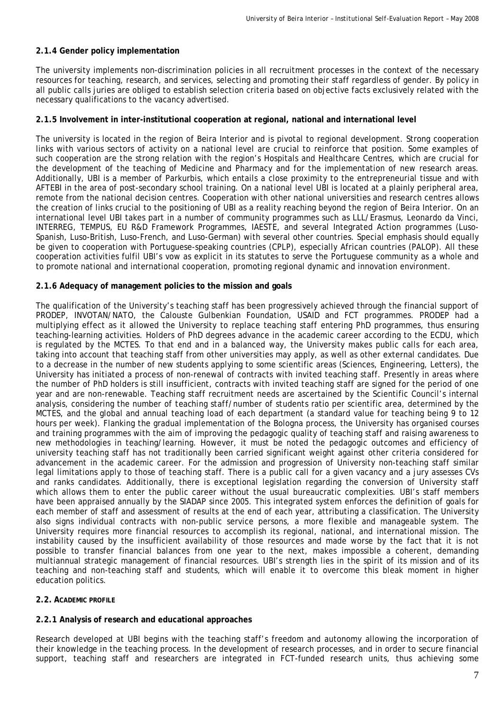# **2.1.4 Gender policy implementation**

The university implements non-discrimination policies in all recruitment processes in the context of the necessary resources for teaching, research, and services, selecting and promoting their staff regardless of gender. By policy in all public calls juries are obliged to establish selection criteria based on objective facts exclusively related with the necessary qualifications to the vacancy advertised.

## **2.1.5 Involvement in inter-institutional cooperation at regional, national and international level**

The university is located in the region of Beira Interior and is pivotal to regional development. Strong cooperation links with various sectors of activity on a national level are crucial to reinforce that position. Some examples of such cooperation are the strong relation with the region's Hospitals and Healthcare Centres, which are crucial for the development of the teaching of Medicine and Pharmacy and for the implementation of new research areas. Additionally, UBI is a member of Parkurbis, which entails a close proximity to the entrepreneurial tissue and with AFTEBI in the area of post-secondary school training. On a national level UBI is located at a plainly peripheral area, remote from the national decision centres. Cooperation with other national universities and research centres allows the creation of links crucial to the positioning of UBI as a reality reaching beyond the region of Beira Interior. On an international level UBI takes part in a number of community programmes such as LLL/Erasmus, Leonardo da Vinci, INTERREG, TEMPUS, EU R&D Framework Programmes, IAESTE, and several Integrated Action programmes (Luso-Spanish, Luso-British, Luso-French, and Luso-German) with several other countries. Special emphasis should equally be given to cooperation with Portuguese-speaking countries (CPLP), especially African countries (PALOP). All these cooperation activities fulfil UBI's vow as explicit in its statutes to serve the Portuguese community as a whole and to promote national and international cooperation, promoting regional dynamic and innovation environment.

# **2.1.6 Adequacy of management policies to the mission and goals**

The qualification of the University's teaching staff has been progressively achieved through the financial support of PRODEP, INVOTAN/NATO, the Calouste Gulbenkian Foundation, USAID and FCT programmes. PRODEP had a multiplying effect as it allowed the University to replace teaching staff entering PhD programmes, thus ensuring teaching-learning activities. Holders of PhD degrees advance in the academic career according to the ECDU, which is regulated by the MCTES. To that end and in a balanced way, the University makes public calls for each area, taking into account that teaching staff from other universities may apply, as well as other external candidates. Due to a decrease in the number of new students applying to some scientific areas (Sciences, Engineering, Letters), the University has initiated a process of non-renewal of contracts with invited teaching staff. Presently in areas where the number of PhD holders is still insufficient, contracts with invited teaching staff are signed for the period of one year and are non-renewable. Teaching staff recruitment needs are ascertained by the Scientific Council's internal analysis, considering the *number of teaching staff/number of students* ratio per scientific area, determined by the MCTES, and the global and annual teaching load of each department (a standard value for teaching being 9 to 12 hours per week). Flanking the gradual implementation of the Bologna process, the University has organised courses and training programmes with the aim of improving the pedagogic quality of teaching staff and raising awareness to new methodologies in teaching/learning. However, it must be noted the pedagogic outcomes and efficiency of university teaching staff has not traditionally been carried significant weight against other criteria considered for advancement in the academic career. For the admission and progression of University non-teaching staff similar legal limitations apply to those of teaching staff. There is a public call for a given vacancy and a jury assesses CVs and ranks candidates. Additionally, there is exceptional legislation regarding the conversion of University staff which allows them to enter the public career without the usual bureaucratic complexities. UBI's staff members have been appraised annually by the SIADAP since 2005. This integrated system enforces the definition of goals for each member of staff and assessment of results at the end of each year, attributing a classification. The University also signs individual contracts with non-public service persons, a more flexible and manageable system. The University requires more financial resources to accomplish its regional, national, and international mission. The instability caused by the insufficient availability of those resources and made worse by the fact that it is not possible to transfer financial balances from one year to the next, makes impossible a coherent, demanding multiannual strategic management of financial resources. UBI's strength lies in the spirit of its mission and of its teaching and non-teaching staff and students, which will enable it to overcome this bleak moment in higher education politics.

## **2.2. ACADEMIC PROFILE**

## **2.2.1 Analysis of research and educational approaches**

Research developed at UBI begins with the teaching staff's freedom and autonomy allowing the incorporation of their knowledge in the teaching process. In the development of research processes, and in order to secure financial support, teaching staff and researchers are integrated in FCT-funded research units, thus achieving some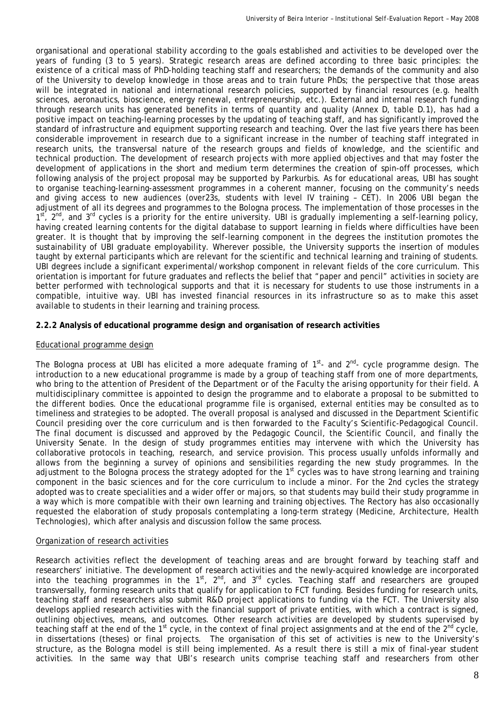organisational and operational stability according to the goals established and activities to be developed over the years of funding (3 to 5 years). Strategic research areas are defined according to three basic principles: the existence of a critical mass of PhD-holding teaching staff and researchers; the demands of the community and also of the University to develop knowledge in those areas and to train future PhDs; the perspective that those areas will be integrated in national and international research policies, supported by financial resources (e.g. health sciences, aeronautics, bioscience, energy renewal, entrepreneurship, etc.). External and internal research funding through research units has generated benefits in terms of quantity and quality (Annex D, table D.1), has had a positive impact on teaching-learning processes by the updating of teaching staff, and has significantly improved the standard of infrastructure and equipment supporting research and teaching. Over the last five years there has been considerable improvement in research due to a significant increase in the number of teaching staff integrated in research units, the transversal nature of the research groups and fields of knowledge, and the scientific and technical production. The development of research projects with more applied objectives and that may foster the development of applications in the short and medium term determines the creation of spin-off processes, which following analysis of the project proposal may be supported by Parkurbis. As for educational areas, UBI has sought to organise teaching-learning-assessment programmes in a coherent manner, focusing on the community's needs and giving access to new audiences (over23s, students with level IV training – CET). In 2006 UBI began the adjustment of all its degrees and programmes to the Bologna process. The implementation of those processes in the  $1^{st}$ ,  $2^{nd}$ , and  $3^{rd}$  cycles is a priority for the entire university. UBI is gradually implementing a self-learning policy, having created learning contents for the digital database to support learning in fields where difficulties have been greater. It is thought that by improving the self-learning component in the degrees the institution promotes the sustainability of UBI graduate employability. Wherever possible, the University supports the insertion of modules taught by external participants which are relevant for the scientific and technical learning and training of students. UBI degrees include a significant experimental/workshop component in relevant fields of the core curriculum. This orientation is important for future graduates and reflects the belief that "paper and pencil" activities in society are better performed with technological supports and that it is necessary for students to use those instruments in a compatible, intuitive way. UBI has invested financial resources in its infrastructure so as to make this asset available to students in their learning and training process.

## **2.2.2 Analysis of educational programme design and organisation of research activities**

## *Educational programme design*

The Bologna process at UBI has elicited a more adequate framing of  $1<sup>st</sup>$  and  $2<sup>nd</sup>$  cycle programme design. The introduction to a new educational programme is made by a group of teaching staff from one of more departments, who bring to the attention of President of the Department or of the Faculty the arising opportunity for their field. A multidisciplinary committee is appointed to design the programme and to elaborate a proposal to be submitted to the different bodies. Once the educational programme file is organised, external entities may be consulted as to timeliness and strategies to be adopted. The overall proposal is analysed and discussed in the Department Scientific Council presiding over the core curriculum and is then forwarded to the Faculty's Scientific-Pedagogical Council. The final document is discussed and approved by the Pedagogic Council, the Scientific Council, and finally the University Senate. In the design of study programmes entities may intervene with which the University has collaborative protocols in teaching, research, and service provision. This process usually unfolds informally and allows from the beginning a survey of opinions and sensibilities regarding the new study programmes. In the adjustment to the Bologna process the strategy adopted for the 1<sup>st</sup> cycles was to have strong learning and training component in the basic sciences and for the core curriculum to include a minor. For the 2nd cycles the strategy adopted was to create specialities and a wider offer or majors, so that students may build their study programme in a way which is more compatible with their own learning and training objectives. The Rectory has also occasionally requested the elaboration of study proposals contemplating a long-term strategy (Medicine, Architecture, Health Technologies), which after analysis and discussion follow the same process.

#### *Organization of research activities*

Research activities reflect the development of teaching areas and are brought forward by teaching staff and researchers' initiative. The development of research activities and the newly-acquired knowledge are incorporated into the teaching programmes in the  $1<sup>st</sup>$ ,  $2<sup>nd</sup>$ , and  $3<sup>rd</sup>$  cycles. Teaching staff and researchers are grouped transversally, forming research units that qualify for application to FCT funding. Besides funding for research units, teaching staff and researchers also submit R&D project applications to funding via the FCT. The University also develops applied research activities with the financial support of private entities, with which a contract is signed, outlining objectives, means, and outcomes. Other research activities are developed by students supervised by teaching staff at the end of the 1<sup>st</sup> cycle, in the context of final project assignments and at the end of the 2<sup>nd</sup> cycle, in dissertations (theses) or final projects. The organisation of this set of activities is new to the University's structure, as the Bologna model is still being implemented. As a result there is still a mix of final-year student activities. In the same way that UBI's research units comprise teaching staff and researchers from other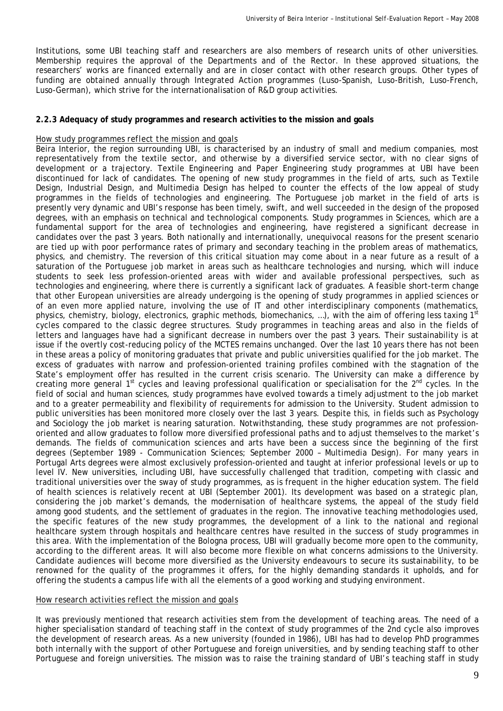Institutions, some UBI teaching staff and researchers are also members of research units of other universities. Membership requires the approval of the Departments and of the Rector. In these approved situations, the researchers' works are financed externally and are in closer contact with other research groups. Other types of funding are obtained annually through Integrated Action programmes (Luso-Spanish, Luso-British, Luso-French, Luso-German), which strive for the internationalisation of R&D group activities.

#### **2.2.3 Adequacy of study programmes and research activities to the mission and goals**

#### *How study programmes reflect the mission and goals*

Beira Interior, the region surrounding UBI, is characterised by an industry of small and medium companies, most representatively from the textile sector, and otherwise by a diversified service sector, with no clear signs of development or a trajectory. Textile Engineering and Paper Engineering study programmes at UBI have been discontinued for lack of candidates. The opening of new study programmes in the field of arts, such as Textile Design, Industrial Design, and Multimedia Design has helped to counter the effects of the low appeal of study programmes in the fields of technologies and engineering. The Portuguese job market in the field of arts is presently very dynamic and UBI's response has been timely, swift, and well succeeded in the design of the proposed degrees, with an emphasis on technical and technological components. Study programmes in Sciences, which are a fundamental support for the area of technologies and engineering, have registered a significant decrease in candidates over the past 3 years. Both nationally and internationally, unequivocal reasons for the present scenario are tied up with poor performance rates of primary and secondary teaching in the problem areas of mathematics, physics, and chemistry. The reversion of this critical situation may come about in a near future as a result of a saturation of the Portuguese job market in areas such as healthcare technologies and nursing, which will induce students to seek less profession-oriented areas with wider and available professional perspectives, such as technologies and engineering, where there is currently a significant lack of graduates. A feasible short-term change that other European universities are already undergoing is the opening of study programmes in applied sciences or of an even more applied nature, involving the use of IT and other interdisciplinary components (mathematics, physics, chemistry, biology, electronics, graphic methods, biomechanics, ...), with the aim of offering less taxing 1<sup>st</sup> cycles compared to the classic degree structures. Study programmes in teaching areas and also in the fields of letters and languages have had a significant decrease in numbers over the past 3 years. Their sustainability is at issue if the overtly cost-reducing policy of the MCTES remains unchanged. Over the last 10 years there has not been in these areas a policy of monitoring graduates that private and public universities qualified for the job market. The excess of graduates with narrow and profession-oriented training profiles combined with the stagnation of the State's employment offer has resulted in the current crisis scenario. The University can make a difference by creating more general 1<sup>st</sup> cycles and leaving professional qualification or specialisation for the 2<sup>nd</sup> cycles. In the field of social and human sciences, study programmes have evolved towards a timely adjustment to the job market and to a greater permeability and flexibility of requirements for admission to the University. Student admission to public universities has been monitored more closely over the last 3 years. Despite this, in fields such as Psychology and Sociology the job market is nearing saturation. Notwithstanding, these study programmes are not professionoriented and allow graduates to follow more diversified professional paths and to adjust themselves to the market's demands. The fields of communication sciences and arts have been a success since the beginning of the first degrees (September 1989 - Communication Sciences; September 2000 – Multimedia Design). For many years in Portugal Arts degrees were almost exclusively profession-oriented and taught at inferior professional levels or up to level IV. New universities, including UBI, have successfully challenged that tradition, competing with classic and traditional universities over the sway of study programmes, as is frequent in the higher education system. The field of health sciences is relatively recent at UBI (September 2001). Its development was based on a strategic plan, considering the job market's demands, the modernisation of healthcare systems, the appeal of the study field among good students, and the settlement of graduates in the region. The innovative teaching methodologies used, the specific features of the new study programmes, the development of a link to the national and regional healthcare system through hospitals and healthcare centres have resulted in the success of study programmes in this area. With the implementation of the Bologna process, UBI will gradually become more open to the community, according to the different areas. It will also become more flexible on what concerns admissions to the University. Candidate audiences will become more diversified as the University endeavours to secure its sustainability, to be renowned for the quality of the programmes it offers, for the highly demanding standards it upholds, and for offering the students a campus life with all the elements of a good working and studying environment.

#### *How research activities reflect the mission and goals*

It was previously mentioned that research activities stem from the development of teaching areas. The need of a higher specialisation standard of teaching staff in the context of study programmes of the 2nd cycle also improves the development of research areas. As a *new* university (founded in 1986), UBI has had to develop PhD programmes both internally with the support of other Portuguese and foreign universities, and by sending teaching staff to other Portuguese and foreign universities. The mission was to raise the training standard of UBI's teaching staff in study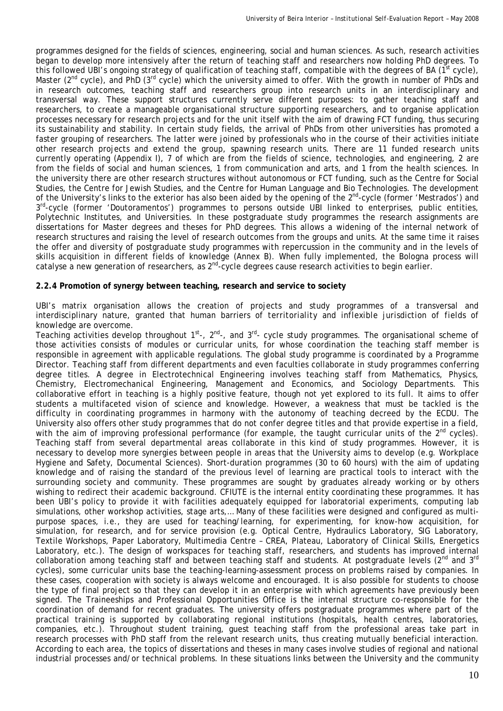programmes designed for the fields of sciences, engineering, social and human sciences. As such, research activities began to develop more intensively after the return of teaching staff and researchers now holding PhD degrees. To this followed UBI's ongoing strategy of qualification of teaching staff, compatible with the degrees of BA ( $1^{st}$  cycle), Master (2<sup>nd</sup> cycle), and PhD (3<sup>rd</sup> cycle) which the university aimed to offer. With the growth in number of PhDs and in research outcomes, teaching staff and researchers group into research units in an interdisciplinary and transversal way. These support structures currently serve different purposes: to gather teaching staff and researchers, to create a manageable organisational structure supporting researchers, and to organise application processes necessary for research projects and for the unit itself with the aim of drawing FCT funding, thus securing its sustainability and stability. In certain study fields, the arrival of PhDs from other universities has promoted a faster grouping of researchers. The latter were joined by professionals who in the course of their activities initiate other research projects and extend the group, spawning research units. There are 11 funded research units currently operating (Appendix I), 7 of which are from the fields of science, technologies, and engineering, 2 are from the fields of social and human sciences, 1 from communication and arts, and 1 from the health sciences. In the university there are other research structures without autonomous or FCT funding, such as the Centre for Social Studies, the Centre for Jewish Studies, and the Centre for Human Language and Bio Technologies. The development of the University's links to the exterior has also been aided by the opening of the 2<sup>nd</sup>-cycle (former 'Mestrados') and 3<sup>rd</sup>-cycle (former 'Doutoramentos') programmes to persons outside UBI linked to enterprises, public entities, Polytechnic Institutes, and Universities. In these postgraduate study programmes the research assignments are dissertations for Master degrees and theses for PhD degrees. This allows a widening of the internal network of research structures and raising the level of research outcomes from the groups and units. At the same time it raises the offer and diversity of postgraduate study programmes with repercussion in the community and in the levels of skills acquisition in different fields of knowledge (Annex B). When fully implemented, the Bologna process will catalyse a new generation of researchers, as 2<sup>nd</sup>-cycle degrees cause research activities to begin earlier.

## **2.2.4 Promotion of synergy between teaching, research and service to society**

UBI's matrix organisation allows the creation of projects and study programmes of a transversal and interdisciplinary nature, granted that human barriers of *territoriality and inflexible jurisdiction of fields of knowledge* are overcome.

Teaching activities develop throughout  $1^{st}$ -,  $2^{nd}$ -, and  $3^{rd}$ - cycle study programmes. The organisational scheme of those activities consists of modules or curricular units, for whose coordination the teaching staff member is responsible in agreement with applicable regulations. The global study programme is coordinated by a Programme Director. Teaching staff from different departments and even faculties collaborate in study programmes conferring degree titles. A degree in Electrotechnical Engineering involves teaching staff from Mathematics, Physics, Chemistry, Electromechanical Engineering, Management and Economics, and Sociology Departments. This collaborative effort in teaching is a highly positive feature, though not yet explored to its full. It aims to offer students a multifaceted vision of science and knowledge. However, a weakness that must be tackled is the difficulty in coordinating programmes in harmony with the autonomy of teaching decreed by the ECDU. The University also offers other study programmes that do not confer degree titles and that provide expertise in a field, with the aim of improving professional performance (for example, the taught curricular units of the 2<sup>nd</sup> cycles). Teaching staff from several departmental areas collaborate in this kind of study programmes. However, it is necessary to develop more synergies between people in areas that the University aims to develop (e.g. Workplace Hygiene and Safety, Documental Sciences). Short-duration programmes (30 to 60 hours) with the aim of updating knowledge and of raising the standard of the previous level of learning are practical tools to interact with the surrounding society and community. These programmes are sought by graduates already working or by others wishing to redirect their academic background. CFIUTE is the internal entity coordinating these programmes. It has been UBI's policy to provide it with facilities adequately equipped for laboratorial experiments, computing lab simulations, other workshop activities, stage arts,… Many of these facilities were designed and configured as multipurpose spaces, i.e., they are used for teaching/learning, for experimenting, for know-how acquisition, for simulation, for research, and for service provision (e.g. Optical Centre, Hydraulics Laboratory, SIG Laboratory, Textile Workshops, Paper Laboratory, Multimedia Centre – CREA, Plateau, Laboratory of Clinical Skills, Energetics Laboratory, etc.). The design of workspaces for teaching staff, researchers, and students has improved internal collaboration among teaching staff and between teaching staff and students. At postgraduate levels (2<sup>nd</sup> and 3<sup>rd</sup> cycles), some curricular units base the teaching-learning-assessment process on problems raised by companies. In these cases, cooperation with society is always welcome and encouraged. It is also possible for students to choose the type of final project so that they can develop it in an enterprise with which agreements have previously been signed. The Traineeships and Professional Opportunities Office is the internal structure co-responsible for the coordination of demand for recent graduates. The university offers postgraduate programmes where part of the practical training is supported by collaborating regional institutions (hospitals, health centres, laboratories, companies, etc.). Throughout student training, guest teaching staff from the professional areas take part in research processes with PhD staff from the relevant research units, thus creating mutually beneficial interaction. According to each area, the topics of dissertations and theses in many cases involve studies of regional and national industrial processes and/or technical problems. In these situations links between the University and the community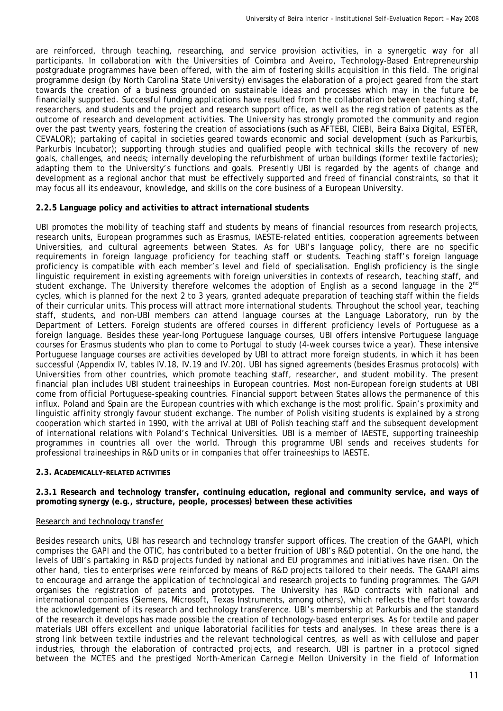are reinforced, through teaching, researching, and service provision activities, in a synergetic way for all participants. In collaboration with the Universities of Coimbra and Aveiro, Technology-Based Entrepreneurship postgraduate programmes have been offered, with the aim of fostering skills acquisition in this field. The original programme design (by North Carolina State University) envisages the elaboration of a project geared from the start towards the creation of a business grounded on sustainable ideas and processes which may in the future be financially supported. Successful funding applications have resulted from the collaboration between teaching staff, researchers, and students and the project and research support office, as well as the registration of patents as the outcome of research and development activities. The University has strongly promoted the community and region over the past twenty years, fostering the creation of associations (such as AFTEBI, CIEBI, Beira Baixa Digital, ESTER, CEVALOR); partaking of capital in societies geared towards economic and social development (such as Parkurbis, Parkurbis Incubator); supporting through studies and qualified people with technical skills the recovery of new goals, challenges, and needs; internally developing the refurbishment of urban buildings (former textile factories); adapting them to the University's functions and goals. Presently UBI is regarded by the agents of change and development as a regional anchor that must be effectively supported and freed of financial constraints, so that it may focus all its endeavour, knowledge, and skills on the core business of a European University.

# **2.2.5 Language policy and activities to attract international students**

UBI promotes the mobility of teaching staff and students by means of financial resources from research projects, research units, European programmes such as Erasmus, IAESTE-related entities, cooperation agreements between Universities, and cultural agreements between States. As for UBI's language policy, there are no specific requirements in foreign language proficiency for teaching staff or students. Teaching staff's foreign language proficiency is compatible with each member's level and field of specialisation. English proficiency is the single linguistic requirement in existing agreements with foreign universities in contexts of research, teaching staff, and student exchange. The University therefore welcomes the adoption of English as a second language in the 2<sup>nd</sup> cycles, which is planned for the next 2 to 3 years, granted adequate preparation of teaching staff within the fields of their curricular units. This process will attract more international students. Throughout the school year, teaching staff, students, and non-UBI members can attend language courses at the Language Laboratory, run by the Department of Letters. Foreign students are offered courses in different proficiency levels of Portuguese as a foreign language. Besides these year-long Portuguese language courses, UBI offers intensive Portuguese language courses for Erasmus students who plan to come to Portugal to study (4-week courses twice a year). These intensive Portuguese language courses are activities developed by UBI to attract more foreign students, in which it has been successful (Appendix IV, tables IV.18, IV.19 and IV.20). UBI has signed agreements (besides Erasmus protocols) with Universities from other countries, which promote teaching staff, researcher, and student mobility. The present financial plan includes UBI student traineeships in European countries. Most non-European foreign students at UBI come from official Portuguese-speaking countries. Financial support between States allows the permanence of this influx. Poland and Spain are the European countries with which exchange is the most prolific. Spain's proximity and linguistic affinity strongly favour student exchange. The number of Polish visiting students is explained by a strong cooperation which started in 1990, with the arrival at UBI of Polish teaching staff and the subsequent development of international relations with Poland's Technical Universities. UBI is a member of IAESTE, supporting traineeship programmes in countries all over the world. Through this programme UBI sends and receives students for professional traineeships in R&D units or in companies that offer traineeships to IAESTE.

## **2.3. ACADEMICALLY-RELATED ACTIVITIES**

**2.3.1 Research and technology transfer, continuing education, regional and community service, and ways of promoting synergy (e.g., structure, people, processes) between these activities** 

## *Research and technology transfer*

Besides research units, UBI has research and technology transfer support offices. The creation of the GAAPI, which comprises the GAPI and the OTIC, has contributed to a better fruition of UBI's R&D potential. On the one hand, the levels of UBI's partaking in R&D projects funded by national and EU programmes and initiatives have risen. On the other hand, ties to enterprises were reinforced by means of R&D projects tailored to their needs. The GAAPI aims to encourage and arrange the application of technological and research projects to funding programmes. The GAPI organises the registration of patents and prototypes. The University has R&D contracts with national and international companies (Siemens, Microsoft, Texas Instruments, among others), which reflects the effort towards the acknowledgement of its research and technology transference. UBI's membership at Parkurbis and the standard of the research it develops has made possible the creation of technology-based enterprises. As for textile and paper materials UBI offers excellent and unique laboratorial facilities for tests and analyses. In these areas there is a strong link between textile industries and the relevant technological centres, as well as with cellulose and paper industries, through the elaboration of contracted projects, and research. UBI is partner in a protocol signed between the MCTES and the prestiged North-American Carnegie Mellon University in the field of Information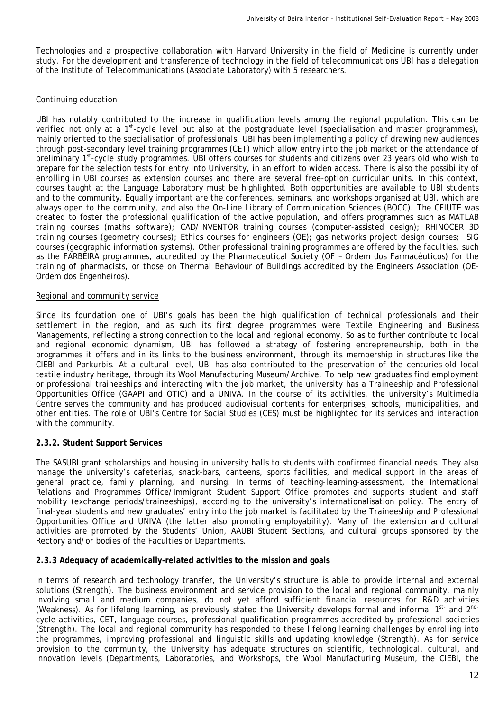Technologies and a prospective collaboration with Harvard University in the field of Medicine is currently under study. For the development and transference of technology in the field of telecommunications UBI has a delegation of the Institute of Telecommunications (Associate Laboratory) with 5 researchers.

## *Continuing education*

UBI has notably contributed to the increase in qualification levels among the regional population. This can be verified not only at a 1<sup>st</sup>-cycle level but also at the postgraduate level (specialisation and master programmes), mainly oriented to the specialisation of professionals. UBI has been implementing a policy of drawing new audiences through post-secondary level training programmes (CET) which allow entry into the job market or the attendance of preliminary 1st-cycle study programmes. UBI offers courses for students and citizens over 23 years old who wish to prepare for the selection tests for entry into University, in an effort to widen access. There is also the possibility of enrolling in UBI courses as extension courses and there are several free-option curricular units. In this context, courses taught at the Language Laboratory must be highlighted. Both opportunities are available to UBI students and to the community. Equally important are the conferences, seminars, and workshops organised at UBI, which are always open to the community, and also the On-Line Library of Communication Sciences (BOCC). The CFIUTE was created to foster the professional qualification of the active population, and offers programmes such as MATLAB training courses (maths software); CAD/INVENTOR training courses (computer-assisted design); RHINOCER 3D training courses (geometry courses); Ethics courses for engineers (OE); gas networks project design courses; SIG courses (geographic information systems). Other professional training programmes are offered by the faculties, such as the FARBEIRA programmes, accredited by the Pharmaceutical Society (OF – Ordem dos Farmacêuticos) for the training of pharmacists, or those on Thermal Behaviour of Buildings accredited by the Engineers Association (OE-Ordem dos Engenheiros).

#### *Regional and community service*

Since its foundation one of UBI's goals has been the high qualification of technical professionals and their settlement in the region, and as such its first degree programmes were Textile Engineering and Business Managements, reflecting a strong connection to the local and regional economy. So as to further contribute to local and regional economic dynamism, UBI has followed a strategy of fostering entrepreneurship, both in the programmes it offers and in its links to the business environment, through its membership in structures like the CIEBI and Parkurbis. At a cultural level, UBI has also contributed to the preservation of the centuries-old local textile industry heritage, through its Wool Manufacturing Museum/Archive. To help new graduates find employment or professional traineeships and interacting with the job market, the university has a Traineeship and Professional Opportunities Office (GAAPI and OTIC) and a UNIVA. In the course of its activities, the university's Multimedia Centre serves the community and has produced audiovisual contents for enterprises, schools, municipalities, and other entities. The role of UBI's Centre for Social Studies (CES) must be highlighted for its services and interaction with the community.

## **2.3.2. Student Support Services**

The SASUBI grant scholarships and housing in university halls to students with confirmed financial needs. They also manage the university's cafeterias, snack-bars, canteens, sports facilities, and medical support in the areas of general practice, family planning, and nursing. In terms of teaching-learning-assessment, the International Relations and Programmes Office/Immigrant Student Support Office promotes and supports student and staff mobility (exchange periods/traineeships), according to the university's internationalisation policy. The entry of final-year students and new graduates' entry into the job market is facilitated by the Traineeship and Professional Opportunities Office and UNIVA (the latter also promoting employability). Many of the extension and cultural activities are promoted by the Students' Union, AAUBI Student Sections, and cultural groups sponsored by the Rectory and/or bodies of the Faculties or Departments.

## **2.3.3 Adequacy of academically-related activities to the mission and goals**

In terms of research and technology transfer, the University's structure is able to provide internal and external solutions (*Strength*). The business environment and service provision to the local and regional community, mainly involving small and medium companies, do not yet afford sufficient financial resources for R&D activities (*Weakness*). As for lifelong learning, as previously stated the University develops formal and informal 1st- and 2ndcycle activities, CET, language courses, professional qualification programmes accredited by professional societies (*Strength*). The local and regional community has responded to these lifelong learning challenges by enrolling into the programmes, improving professional and linguistic skills and updating knowledge (*Strength*). As for service provision to the community, the University has adequate structures on scientific, technological, cultural, and innovation levels (Departments, Laboratories, and Workshops, the Wool Manufacturing Museum, the CIEBI, the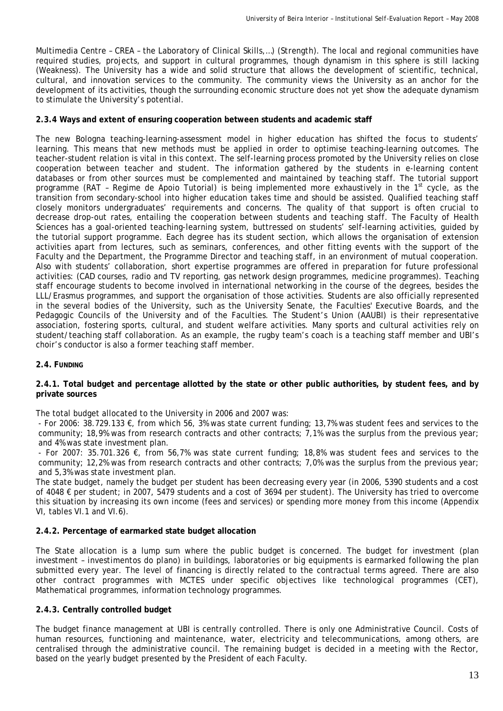Multimedia Centre – CREA – the Laboratory of Clinical Skills,…) (*Strength*). The local and regional communities have required studies, projects, and support in cultural programmes, though dynamism in this sphere is still lacking (*Weakness*). The University has a wide and solid structure that allows the development of scientific, technical, cultural, and innovation services to the community. The community views the University as an anchor for the development of its activities, though the surrounding economic structure does not yet show the adequate dynamism to stimulate the University's potential.

#### **2.3.4 Ways and extent of ensuring cooperation between students and academic staff**

The new Bologna teaching-learning-assessment model in higher education has shifted the focus to students' learning. This means that new methods must be applied in order to optimise teaching-learning outcomes. The teacher-student relation is vital in this context. The self-learning process promoted by the University relies on close cooperation between teacher and student. The information gathered by the students in e-learning content databases or from other sources must be complemented and maintained by teaching staff. The tutorial support programme (RAT - Regime de Apoio Tutorial) is being implemented more exhaustively in the 1<sup>st</sup> cycle, as the transition from secondary-school into higher education takes time and should be assisted. Qualified teaching staff closely monitors undergraduates' requirements and concerns. The quality of that support is often crucial to decrease drop-out rates, entailing the cooperation between students and teaching staff. The Faculty of Health Sciences has a goal-oriented teaching-learning system, buttressed on students' self-learning activities, guided by the tutorial support programme. Each degree has its student section, which allows the organisation of extension activities apart from lectures, such as seminars, conferences, and other fitting events with the support of the Faculty and the Department, the Programme Director and teaching staff, in an environment of mutual cooperation. Also with students' collaboration, short expertise programmes are offered in preparation for future professional activities: (CAD courses, radio and TV reporting, gas network design programmes, medicine programmes). Teaching staff encourage students to become involved in international networking in the course of the degrees, besides the LLL/Erasmus programmes, and support the organisation of those activities. Students are also officially represented in the several bodies of the University, such as the University Senate, the Faculties' Executive Boards, and the Pedagogic Councils of the University and of the Faculties. The Student's Union (AAUBI) is their representative association, fostering sports, cultural, and student welfare activities. Many sports and cultural activities rely on student/teaching staff collaboration. As an example, the rugby team's coach is a teaching staff member and UBI's choir's conductor is also a former teaching staff member.

#### **2.4. FUNDING**

#### **2.4.1. Total budget and percentage allotted by the state or other public authorities, by student fees, and by private sources**

The total budget allocated to the University in 2006 and 2007 was:

- For 2006: 38.729.133 €, from which 56, 3% was state current funding; 13,7% was student fees and services to the community; 18,9% was from research contracts and other contracts; 7,1% was the surplus from the previous year; and 4% was state investment plan.

- For 2007: 35.701.326 €, from 56,7% was state current funding; 18,8% was student fees and services to the community; 12,2% was from research contracts and other contracts; 7,0% was the surplus from the previous year; and 5,3% was state investment plan.

The state budget, namely the budget per student has been decreasing every year (in 2006, 5390 students and a cost of 4048 € per student; in 2007, 5479 students and a cost of 3694 per student). The University has tried to overcome this situation by increasing its own income (fees and services) or spending more money from this income (Appendix VI, tables VI.1 and VI.6).

## **2.4.2. Percentage of earmarked state budget allocation**

The State allocation is a lump sum where the public budget is concerned. The budget for investment (plan investment – *investimentos do plano*) in buildings, laboratories or big equipments is earmarked following the plan submitted every year. The level of financing is directly related to the contractual terms agreed. There are also other contract programmes with MCTES under specific objectives like technological programmes (CET), Mathematical programmes, information technology programmes.

## **2.4.3. Centrally controlled budget**

The budget finance management at UBI is centrally controlled. There is only one Administrative Council. Costs of human resources, functioning and maintenance, water, electricity and telecommunications, among others, are centralised through the administrative council. The remaining budget is decided in a meeting with the Rector, based on the yearly budget presented by the President of each Faculty.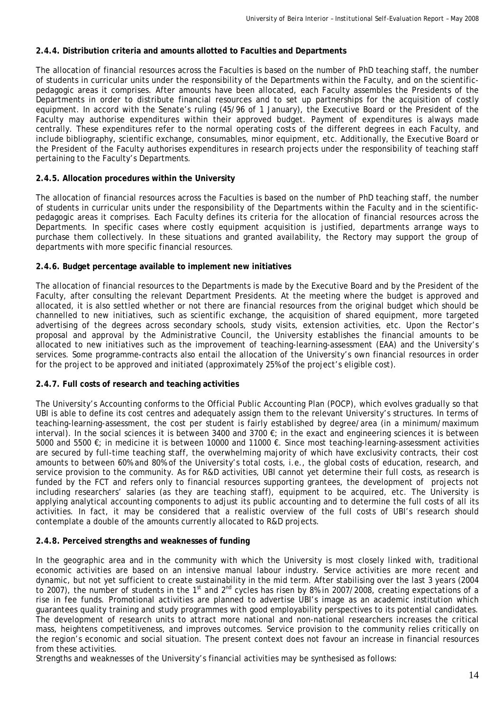# **2.4.4. Distribution criteria and amounts allotted to Faculties and Departments**

The allocation of financial resources across the Faculties is based on the number of PhD teaching staff, the number of students in curricular units under the responsibility of the Departments within the Faculty, and on the scientificpedagogic areas it comprises. After amounts have been allocated, each Faculty assembles the Presidents of the Departments in order to distribute financial resources and to set up partnerships for the acquisition of costly equipment. In accord with the Senate's ruling (45/96 of 1 January), the Executive Board or the President of the Faculty may authorise expenditures within their approved budget. Payment of expenditures is always made centrally. These expenditures refer to the normal operating costs of the different degrees in each Faculty, and include bibliography, scientific exchange, consumables, minor equipment, etc. Additionally, the Executive Board or the President of the Faculty authorises expenditures in research projects under the responsibility of teaching staff pertaining to the Faculty's Departments.

# **2.4.5. Allocation procedures within the University**

The allocation of financial resources across the Faculties is based on the number of PhD teaching staff, the number of students in curricular units under the responsibility of the Departments within the Faculty and in the scientificpedagogic areas it comprises. Each Faculty defines its criteria for the allocation of financial resources across the Departments. In specific cases where costly equipment acquisition is justified, departments arrange ways to purchase them collectively. In these situations and granted availability, the Rectory may support the group of departments with more specific financial resources.

# **2.4.6. Budget percentage available to implement new initiatives**

The allocation of financial resources to the Departments is made by the Executive Board and by the President of the Faculty, after consulting the relevant Department Presidents. At the meeting where the budget is approved and allocated, it is also settled whether or not there are financial resources from the original budget which should be channelled to new initiatives, such as scientific exchange, the acquisition of shared equipment, more targeted advertising of the degrees across secondary schools, study visits, extension activities, etc. Upon the Rector's proposal and approval by the Administrative Council, the University establishes the financial amounts to be allocated to new initiatives such as the improvement of teaching-learning-assessment (EAA) and the University's services. Some programme-contracts also entail the allocation of the University's own financial resources in order for the project to be approved and initiated (approximately 25% of the project's eligible cost).

## **2.4.7. Full costs of research and teaching activities**

The University's Accounting conforms to the Official Public Accounting Plan (POCP), which evolves gradually so that UBI is able to define its cost centres and adequately assign them to the relevant University's structures. In terms of teaching-learning-assessment, the cost per student is fairly established by degree/area (in a minimum/maximum interval). In the social sciences it is between 3400 and 3700  $\epsilon$ ; in the exact and engineering sciences it is between 5000 and 5500 €; in medicine it is between 10000 and 11000 €. Since most teaching-learning-assessment activities are secured by full-time teaching staff, the overwhelming majority of which have exclusivity contracts, their cost amounts to between 60% and 80% of the University's total costs, i.e., the global costs of education, research, and service provision to the community. As for R&D activities, UBI cannot yet determine their full costs, as research is funded by the FCT and refers only to financial resources supporting grantees, the development of projects not including researchers' salaries (as they are teaching staff), equipment to be acquired, etc. The University is applying analytical accounting components to adjust its public accounting and to determine the full costs of all its activities. In fact, it may be considered that a realistic overview of the full costs of UBI's research should contemplate a double of the amounts currently allocated to R&D projects.

## **2.4.8. Perceived strengths and weaknesses of funding**

In the geographic area and in the community with which the University is most closely linked with, traditional economic activities are based on an intensive manual labour industry. Service activities are more recent and dynamic, but not yet sufficient to create sustainability in the mid term. After stabilising over the last 3 years (2004 to 2007), the number of students in the 1<sup>st</sup> and 2<sup>nd</sup> cycles has risen by 8% in 2007/2008, creating expectations of a rise in fee funds. Promotional activities are planned to advertise UBI's image as an academic institution which guarantees quality training and study programmes with good employability perspectives to its potential candidates. The development of research units to attract more national and non-national researchers increases the critical mass, heightens competitiveness, and improves outcomes. Service provision to the community relies critically on the region's economic and social situation. The present context does not favour an increase in financial resources from these activities.

Strengths and weaknesses of the University's financial activities may be synthesised as follows: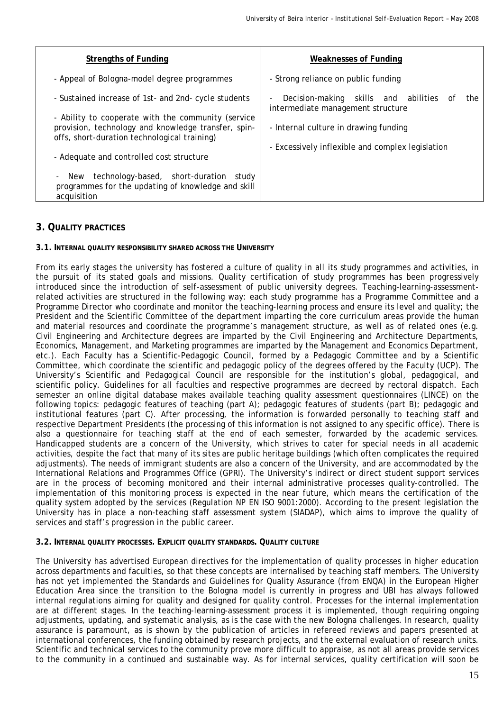| <b>Strengths of Funding</b>                                                                                                                                                                                                                                                                                                                                                                  | Weaknesses of Funding                                                                                                                                                                                           |
|----------------------------------------------------------------------------------------------------------------------------------------------------------------------------------------------------------------------------------------------------------------------------------------------------------------------------------------------------------------------------------------------|-----------------------------------------------------------------------------------------------------------------------------------------------------------------------------------------------------------------|
| - Appeal of Bologna-model degree programmes                                                                                                                                                                                                                                                                                                                                                  | - Strong reliance on public funding                                                                                                                                                                             |
| - Sustained increase of 1st- and 2nd- cycle students<br>- Ability to cooperate with the community (service<br>provision, technology and knowledge transfer, spin-<br>offs, short-duration technological training)<br>- Adequate and controlled cost structure<br>technology-based, short-duration<br>study<br>New<br>۰.<br>programmes for the updating of knowledge and skill<br>acquisition | Decision-making skills and abilities<br>the<br>of<br>$\overline{\phantom{a}}$<br>intermediate management structure<br>- Internal culture in drawing funding<br>- Excessively inflexible and complex legislation |

# **3. QUALITY PRACTICES**

#### **3.1. INTERNAL QUALITY RESPONSIBILITY SHARED ACROSS THE UNIVERSITY**

From its early stages the university has fostered a culture of quality in all its study programmes and activities, in the pursuit of its stated goals and missions. Quality certification of study programmes has been progressively introduced since the introduction of self-assessment of public university degrees. Teaching-learning-assessmentrelated activities are structured in the following way: each study programme has a Programme Committee and a Programme Director who coordinate and monitor the teaching-learning process and ensure its level and quality; the President and the Scientific Committee of the department imparting the core curriculum areas provide the human and material resources and coordinate the programme's management structure, as well as of related ones (e.g. Civil Engineering and Architecture degrees are imparted by the Civil Engineering and Architecture Departments, Economics, Management, and Marketing programmes are imparted by the Management and Economics Department, etc.). Each Faculty has a Scientific-Pedagogic Council, formed by a Pedagogic Committee and by a Scientific Committee, which coordinate the scientific and pedagogic policy of the degrees offered by the Faculty (UCP). The University's Scientific and Pedagogical Council are responsible for the institution's global, pedagogical, and scientific policy. Guidelines for all faculties and respective programmes are decreed by rectoral dispatch. Each semester an online digital database makes available teaching quality assessment questionnaires (LINCE) on the following topics: pedagogic features of teaching (part A); pedagogic features of students (part B); pedagogic and institutional features (part C). After processing, the information is forwarded personally to teaching staff and respective Department Presidents (the processing of this information is not assigned to any specific office). There is also a questionnaire for teaching staff at the end of each semester, forwarded by the academic services. Handicapped students are a concern of the University, which strives to cater for special needs in all academic activities, despite the fact that many of its sites are public heritage buildings (which often complicates the required adjustments). The needs of immigrant students are also a concern of the University, and are accommodated by the International Relations and Programmes Office (GPRI). The University's indirect or direct student support services are in the process of becoming monitored and their internal administrative processes quality-controlled. The implementation of this monitoring process is expected in the near future, which means the certification of the quality system adopted by the services (Regulation NP EN ISO 9001:2000). According to the present legislation the University has in place a non-teaching staff assessment system (SIADAP), which aims to improve the quality of services and staff's progression in the public career.

#### **3.2. INTERNAL QUALITY PROCESSES. EXPLICIT QUALITY STANDARDS. QUALITY CULTURE**

The University has advertised European directives for the implementation of quality processes in higher education across departments and faculties, so that these concepts are internalised by teaching staff members. The University has not yet implemented the Standards and Guidelines for Quality Assurance (from ENQA) in the European Higher Education Area since the transition to the Bologna model is currently in progress and UBI has always followed internal regulations aiming for quality and designed for quality control. Processes for the internal implementation are at different stages. In the teaching-learning-assessment process it is implemented, though requiring ongoing adjustments, updating, and systematic analysis, as is the case with the new Bologna challenges. In research, quality assurance is paramount, as is shown by the publication of articles in refereed reviews and papers presented at international conferences, the funding obtained by research projects, and the external evaluation of research units. Scientific and technical services to the community prove more difficult to appraise, as not all areas provide services to the community in a continued and sustainable way. As for internal services, quality certification will soon be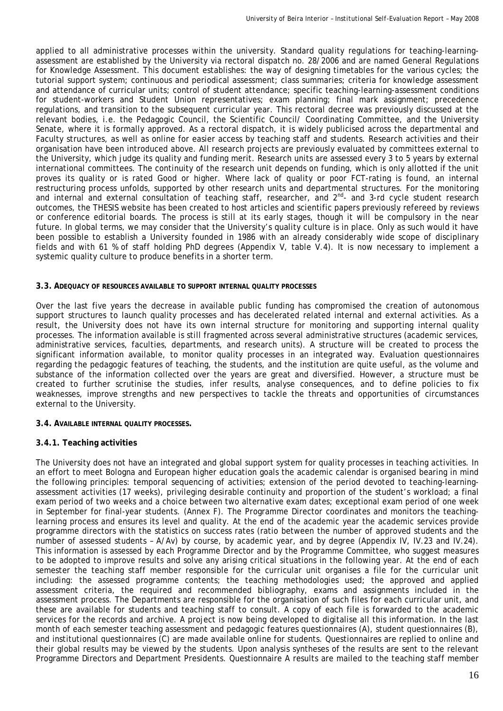applied to all administrative processes within the university. Standard quality regulations for teaching-learningassessment are established by the University via rectoral dispatch no. 28/2006 and are named General Regulations for Knowledge Assessment. This document establishes: the way of designing timetables for the various cycles; the tutorial support system; continuous and periodical assessment; class summaries; criteria for knowledge assessment and attendance of curricular units; control of student attendance; specific teaching-learning-assessment conditions for student-workers and Student Union representatives; exam planning; final mark assignment; precedence regulations, and transition to the subsequent curricular year. This rectoral decree was previously discussed at the relevant bodies, i.e. the Pedagogic Council, the Scientific Council/ Coordinating Committee, and the University Senate, where it is formally approved. As a rectoral dispatch, it is widely publicised across the departmental and Faculty structures, as well as online for easier access by teaching staff and students. Research activities and their organisation have been introduced above. All research projects are previously evaluated by committees external to the University, which judge its quality and funding merit. Research units are assessed every 3 to 5 years by external international committees. The continuity of the research unit depends on funding, which is only allotted if the unit proves its quality or is rated Good or higher. Where lack of quality or poor FCT-rating is found, an internal restructuring process unfolds, supported by other research units and departmental structures. For the monitoring and internal and external consultation of teaching staff, researcher, and 2<sup>nd</sup>- and 3-rd cycle student research outcomes, the THESIS website has been created to host articles and scientific papers previously refereed by reviews or conference editorial boards. The process is still at its early stages, though it will be compulsory in the near future. In global terms, we may consider that the University's quality culture is in place. Only as such would it have been possible to establish a University founded in 1986 with an already considerably wide scope of disciplinary fields and with 61 % of staff holding PhD degrees (Appendix V, table V.4). It is now necessary to implement a systemic quality culture to produce benefits in a shorter term.

#### **3.3. ADEQUACY OF RESOURCES AVAILABLE TO SUPPORT INTERNAL QUALITY PROCESSES**

Over the last five years the decrease in available public funding has compromised the creation of autonomous support structures to launch quality processes and has decelerated related internal and external activities. As a result, the University does not have its own internal structure for monitoring and supporting internal quality processes. The information available is still fragmented across several administrative structures (academic services, administrative services, faculties, departments, and research units). A structure will be created to process the significant information available, to monitor quality processes in an integrated way. Evaluation questionnaires regarding the pedagogic features of teaching, the students, and the institution are quite useful, as the volume and substance of the information collected over the years are great and diversified. However, a structure must be created to further scrutinise the studies, infer results, analyse consequences, and to define policies to fix weaknesses, improve strengths and new perspectives to tackle the threats and opportunities of circumstances external to the University.

**3.4. AVAILABLE INTERNAL QUALITY PROCESSES.**

## **3.4.1. Teaching activities**

The University does not have an integrated and global support system for quality processes in teaching activities. In an effort to meet Bologna and European higher education goals the academic calendar is organised bearing in mind the following principles: temporal sequencing of activities; extension of the period devoted to teaching-learningassessment activities (17 weeks), privileging desirable continuity and proportion of the student's workload; a final exam period of two weeks and a choice between two alternative exam dates; exceptional exam period of one week in September for final-year students. (Annex F). The Programme Director coordinates and monitors the teachinglearning process and ensures its level and quality. At the end of the academic year the academic services provide programme directors with the statistics on success rates (ratio between the number of approved students and the number of assessed students – A/Av) by course, by academic year, and by degree (Appendix IV, IV.23 and IV.24). This information is assessed by each Programme Director and by the Programme Committee, who suggest measures to be adopted to improve results and solve any arising critical situations in the following year. At the end of each semester the teaching staff member responsible for the curricular unit organises a file for the curricular unit including: the assessed programme contents; the teaching methodologies used; the approved and applied assessment criteria, the required and recommended bibliography, exams and assignments included in the assessment process. The Departments are responsible for the organisation of such files for each curricular unit, and these are available for students and teaching staff to consult. A copy of each file is forwarded to the academic services for the records and archive. A project is now being developed to digitalise all this information. In the last month of each semester teaching assessment and pedagogic features questionnaires (A), student questionnaires (B), and institutional questionnaires (C) are made available online for students. Questionnaires are replied to online and their global results may be viewed by the students. Upon analysis syntheses of the results are sent to the relevant Programme Directors and Department Presidents. Questionnaire A results are mailed to the teaching staff member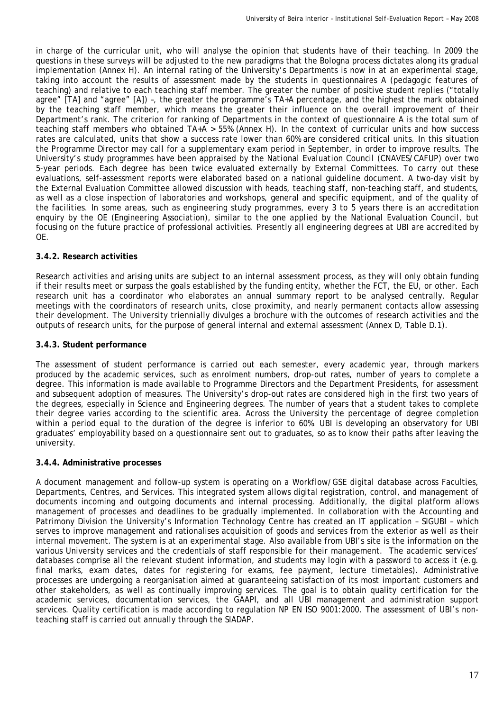in charge of the curricular unit, who will analyse the opinion that students have of their teaching. In 2009 the questions in these surveys will be adjusted to the new paradigms that the Bologna process dictates along its gradual implementation (Annex H). An internal rating of the University's Departments is now in at an experimental stage, taking into account the results of assessment made by the students in questionnaires A (pedagogic features of teaching) and relative to each teaching staff member. The greater the number of positive student replies ("totally agree" [TA] and "agree" [A]) –, the greater the programme's TA+A percentage, and the highest the mark obtained by the teaching staff member, which means the greater their influence on the overall improvement of their Department's rank. The criterion for ranking of Departments in the context of questionnaire A is the total sum of teaching staff members who obtained TA+A > 55% (Annex H). In the context of curricular units and how success rates are calculated, units that show a success rate lower than 60% are considered critical units. In this situation the Programme Director may call for a supplementary exam period in September, in order to improve results. The University's study programmes have been appraised by the *National Evaluation Council* (CNAVES/CAFUP) over two 5-year periods. Each degree has been twice evaluated externally by External Committees. To carry out these evaluations, self-assessment reports were elaborated based on a national guideline document. A two-day visit by the External Evaluation Committee allowed discussion with heads, teaching staff, non-teaching staff, and students, as well as a close inspection of laboratories and workshops, general and specific equipment, and of the quality of the facilities. In some areas, such as engineering study programmes, every 3 to 5 years there is an accreditation enquiry by the OE (Engineering Association), similar to the one applied by the *National Evaluation Council*, but focusing on the future practice of professional activities. Presently all engineering degrees at UBI are accredited by OE.

# **3.4.2. Research activities**

Research activities and arising units are subject to an internal assessment process, as they will only obtain funding if their results meet or surpass the goals established by the funding entity, whether the FCT, the EU, or other. Each research unit has a coordinator who elaborates an annual summary report to be analysed centrally. Regular meetings with the coordinators of research units, close proximity, and nearly permanent contacts allow assessing their development. The University triennially divulges a brochure with the outcomes of research activities and the outputs of research units, for the purpose of general internal and external assessment (Annex D, Table D.1).

# **3.4.3. Student performance**

The assessment of student performance is carried out each semester, every academic year, through markers produced by the academic services, such as enrolment numbers, drop-out rates, number of years to complete a degree. This information is made available to Programme Directors and the Department Presidents, for assessment and subsequent adoption of measures. The University's drop-out rates are considered high in the first two years of the degrees, especially in Science and Engineering degrees. The number of years that a student takes to complete their degree varies according to the scientific area. Across the University the percentage of degree completion within a period equal to the duration of the degree is inferior to 60%. UBI is developing an observatory for UBI graduates' employability based on a questionnaire sent out to graduates, so as to know their paths after leaving the university.

## **3.4.4. Administrative processes**

A document management and follow-up system is operating on a Workflow/GSE digital database across Faculties, Departments, Centres, and Services. This integrated system allows digital registration, control, and management of documents incoming and outgoing documents and internal processing. Additionally, the digital platform allows management of processes and deadlines to be gradually implemented. In collaboration with the Accounting and Patrimony Division the University's Information Technology Centre has created an IT application – SIGUBI – which serves to improve management and rationalises acquisition of goods and services from the exterior as well as their internal movement. The system is at an experimental stage. Also available from UBI's site is the information on the various University services and the credentials of staff responsible for their management. The academic services' databases comprise all the relevant student information, and students may login with a password to access it (e.g. final marks, exam dates, dates for registering for exams, fee payment, lecture timetables). Administrative processes are undergoing a reorganisation aimed at guaranteeing satisfaction of its most important customers and other stakeholders, as well as continually improving services. The goal is to obtain quality certification for the academic services, documentation services, the GAAPI, and all UBI management and administration support services. Quality certification is made according to regulation NP EN ISO 9001:2000. The assessment of UBI's nonteaching staff is carried out annually through the SIADAP.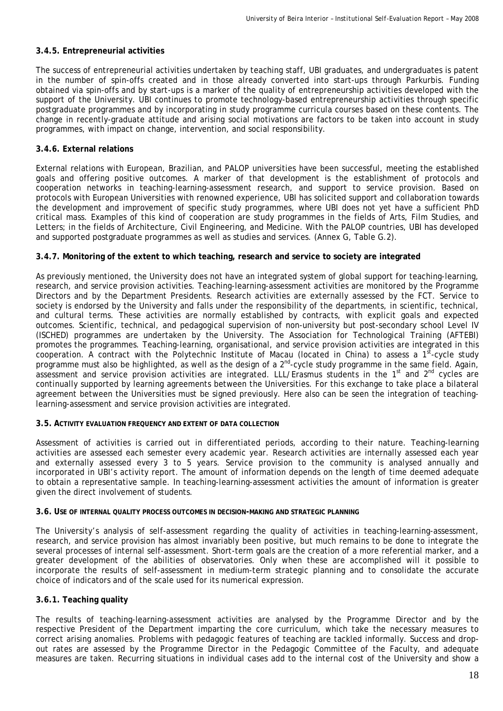# **3.4.5. Entrepreneurial activities**

The success of entrepreneurial activities undertaken by teaching staff, UBI graduates, and undergraduates is patent in the number of spin-offs created and in those already converted into start-ups through Parkurbis. Funding obtained via spin-offs and by start-ups is a marker of the quality of entrepreneurship activities developed with the support of the University. UBI continues to promote technology-based entrepreneurship activities through specific postgraduate programmes and by incorporating in study programme curricula courses based on these contents. The change in recently-graduate attitude and arising social motivations are factors to be taken into account in study programmes, with impact on change, intervention, and social responsibility.

## **3.4.6. External relations**

External relations with European, Brazilian, and PALOP universities have been successful, meeting the established goals and offering positive outcomes. A marker of that development is the establishment of protocols and cooperation networks in teaching-learning-assessment research, and support to service provision. Based on protocols with European Universities with renowned experience, UBI has solicited support and collaboration towards the development and improvement of specific study programmes, where UBI does not yet have a sufficient PhD critical mass. Examples of this kind of cooperation are study programmes in the fields of Arts, Film Studies, and Letters; in the fields of Architecture, Civil Engineering, and Medicine. With the PALOP countries, UBI has developed and supported postgraduate programmes as well as studies and services. (Annex G, Table G.2).

## **3.4.7. Monitoring of the extent to which teaching, research and service to society are integrated**

As previously mentioned, the University does not have an integrated system of global support for teaching-learning, research, and service provision activities. Teaching-learning-assessment activities are monitored by the Programme Directors and by the Department Presidents. Research activities are externally assessed by the FCT. Service to society is endorsed by the University and falls under the responsibility of the departments, in scientific, technical, and cultural terms. These activities are normally established by contracts, with explicit goals and expected outcomes. Scientific, technical, and pedagogical supervision of non-university but post-secondary school Level IV (ISCHED) programmes are undertaken by the University. The Association for Technological Training (AFTEBI) promotes the programmes. Teaching-learning, organisational, and service provision activities are integrated in this cooperation. A contract with the Polytechnic Institute of Macau (located in China) to assess a  $1^{st}$ -cycle study programme must also be highlighted, as well as the design of a 2<sup>nd</sup>-cycle study programme in the same field. Again, assessment and service provision activities are integrated. LLL/Erasmus students in the 1<sup>st</sup> and 2<sup>nd</sup> cycles are continually supported by learning agreements between the Universities. For this exchange to take place a bilateral agreement between the Universities must be signed previously. Here also can be seen the integration of teachinglearning-assessment and service provision activities are integrated.

#### **3.5. ACTIVITY EVALUATION FREQUENCY AND EXTENT OF DATA COLLECTION**

Assessment of activities is carried out in differentiated periods, according to their nature. Teaching-learning activities are assessed each semester every academic year. Research activities are internally assessed each year and externally assessed every 3 to 5 years. Service provision to the community is analysed annually and incorporated in UBI's activity report. The amount of information depends on the length of time deemed adequate to obtain a representative sample. In teaching-learning-assessment activities the amount of information is greater given the direct involvement of students.

#### **3.6. USE OF INTERNAL QUALITY PROCESS OUTCOMES IN DECISION-MAKING AND STRATEGIC PLANNING**

The University's analysis of self-assessment regarding the quality of activities in teaching-learning-assessment, research, and service provision has almost invariably been positive, but much remains to be done to integrate the several processes of internal self-assessment. Short-term goals are the creation of a more referential marker, and a greater development of the abilities of observatories. Only when these are accomplished will it possible to incorporate the results of self-assessment in medium-term strategic planning and to consolidate the accurate choice of indicators and of the scale used for its numerical expression.

## **3.6.1. Teaching quality**

The results of teaching-learning-assessment activities are analysed by the Programme Director and by the respective President of the Department imparting the core curriculum, which take the necessary measures to correct arising anomalies. Problems with pedagogic features of teaching are tackled informally. Success and dropout rates are assessed by the Programme Director in the Pedagogic Committee of the Faculty, and adequate measures are taken. Recurring situations in individual cases add to the internal cost of the University and show a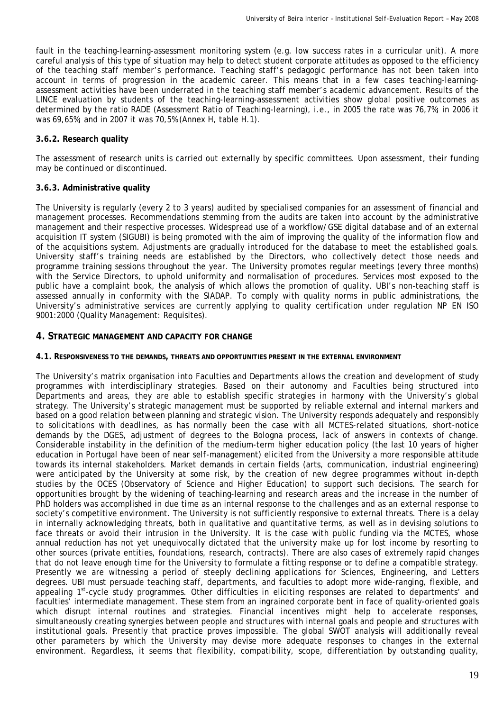fault in the teaching-learning-assessment monitoring system (e.g. low success rates in a curricular unit). A more careful analysis of this type of situation may help to detect student corporate attitudes as opposed to the efficiency of the teaching staff member's performance. Teaching staff's pedagogic performance has not been taken into account in terms of progression in the academic career. This means that in a few cases teaching-learningassessment activities have been underrated in the teaching staff member's academic advancement. Results of the LINCE evaluation by students of the teaching-learning-assessment activities show global positive outcomes as determined by the ratio RADE (*Assessment Ratio of Teaching-learning)*, i.e., in 2005 the rate was 76,7%; in 2006 it was 69,65%; and in 2007 it was 70,5% (Annex H, table H.1).

# **3.6.2. Research quality**

The assessment of research units is carried out externally by specific committees. Upon assessment, their funding may be continued or discontinued.

# **3.6.3. Administrative quality**

The University is regularly (every 2 to 3 years) audited by specialised companies for an assessment of financial and management processes. Recommendations stemming from the audits are taken into account by the administrative management and their respective processes. Widespread use of a workflow/GSE digital database and of an external acquisition IT system (SIGUBI) is being promoted with the aim of improving the quality of the information flow and of the acquisitions system. Adjustments are gradually introduced for the database to meet the established goals. University staff's training needs are established by the Directors, who collectively detect those needs and programme training sessions throughout the year. The University promotes regular meetings (every three months) with the Service Directors, to uphold uniformity and normalisation of procedures. Services most exposed to the public have a complaint book, the analysis of which allows the promotion of quality. UBI's non-teaching staff is assessed annually in conformity with the SIADAP. To comply with quality norms in public administrations, the University's administrative services are currently applying to quality certification under regulation NP EN ISO 9001:2000 (Quality Management: Requisites).

# **4. STRATEGIC MANAGEMENT AND CAPACITY FOR CHANGE**

## **4.1. RESPONSIVENESS TO THE DEMANDS, THREATS AND OPPORTUNITIES PRESENT IN THE EXTERNAL ENVIRONMENT**

The University's matrix organisation into Faculties and Departments allows the creation and development of study programmes with interdisciplinary strategies. Based on their autonomy and Faculties being structured into Departments and areas, they are able to establish specific strategies in harmony with the University's global strategy. The University's strategic management must be supported by reliable external and internal markers and based on a good relation between planning and strategic vision. The University responds adequately and responsibly to solicitations with deadlines, as has normally been the case with all MCTES-related situations, short-notice demands by the DGES, adjustment of degrees to the Bologna process, lack of answers in contexts of change. Considerable instability in the definition of the medium-term higher education policy (the last 10 years of higher education in Portugal have been of near self-management) elicited from the University a more responsible attitude towards its internal stakeholders. Market demands in certain fields (arts, communication, industrial engineering) were anticipated by the University at some risk, by the creation of new degree programmes without in-depth studies by the OCES (Observatory of Science and Higher Education) to support such decisions. The search for opportunities brought by the widening of teaching-learning and research areas and the increase in the number of PhD holders was accomplished in due time as an internal response to the challenges and as an external response to society's competitive environment. The University is not sufficiently responsive to external threats. There is a delay in internally acknowledging threats, both in qualitative and quantitative terms, as well as in devising solutions to face threats or avoid their intrusion in the University. It is the case with public funding via the MCTES, whose annual reduction has not yet unequivocally dictated that the university make up for lost income by resorting to other sources (private entities, foundations, research, contracts). There are also cases of extremely rapid changes that do not leave enough time for the University to formulate a fitting response or to define a compatible strategy. Presently we are witnessing a period of steeply declining applications for Sciences, Engineering, and Letters degrees. UBI must persuade teaching staff, departments, and faculties to adopt more wide-ranging, flexible, and appealing 1<sup>st</sup>-cycle study programmes. Other difficulties in eliciting responses are related to departments' and faculties' intermediate management. These stem from an ingrained corporate bent in face of quality-oriented goals which disrupt internal routines and strategies. Financial incentives might help to accelerate responses, simultaneously creating synergies between people and structures with internal goals and people and structures with institutional goals. Presently that practice proves impossible. The global SWOT analysis will additionally reveal other parameters by which the University may devise more adequate responses to changes in the external environment. Regardless, it seems that flexibility, compatibility, scope, differentiation by outstanding quality,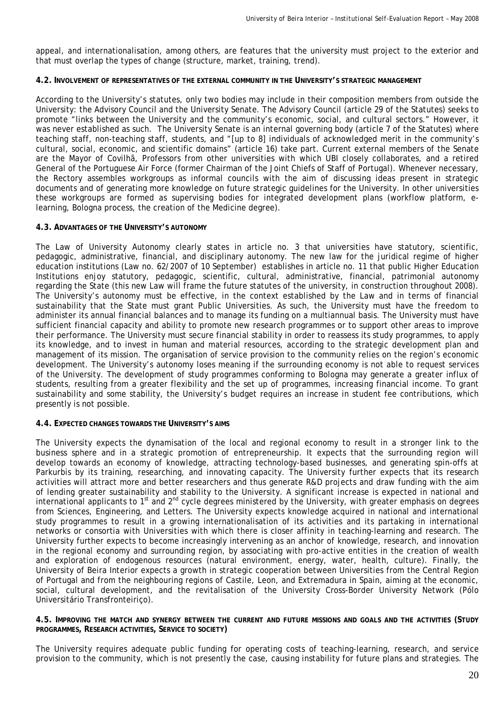appeal, and internationalisation, among others, are features that the university must project to the exterior and that must overlap the types of change (structure, market, training, trend).

#### **4.2. INVOLVEMENT OF REPRESENTATIVES OF THE EXTERNAL COMMUNITY IN THE UNIVERSITY'S STRATEGIC MANAGEMENT**

According to the University's statutes, only two bodies may include in their composition members from outside the University: the Advisory Council and the University Senate. The Advisory Council (article 29 of the Statutes) seeks to promote "links between the University and the community's economic, social, and cultural sectors." However, it was never established as such. The University Senate is an internal governing body (article 7 of the Statutes) where teaching staff, non-teaching staff, students, and "[up to 8] individuals of acknowledged merit in the community's cultural, social, economic, and scientific domains" (article 16) take part. Current external members of the Senate are the Mayor of Covilhã, Professors from other universities with which UBI closely collaborates, and a retired General of the Portuguese Air Force (former Chairman of the Joint Chiefs of Staff of Portugal). Whenever necessary, the Rectory assembles workgroups as informal councils with the aim of discussing ideas present in strategic documents and of generating more knowledge on future strategic guidelines for the University. In other universities these workgroups are formed as supervising bodies for integrated development plans (workflow platform, elearning, Bologna process, the creation of the Medicine degree).

#### **4.3. ADVANTAGES OF THE UNIVERSITY'S AUTONOMY**

The Law of University Autonomy clearly states in article no. 3 that universities have statutory, scientific, pedagogic, administrative, financial, and disciplinary autonomy. The new law for the juridical regime of higher education institutions (Law no. 62/2007 of 10 September) establishes in article no. 11 that public Higher Education Institutions enjoy statutory, pedagogic, scientific, cultural, administrative, financial, patrimonial autonomy regarding the State (this new Law will frame the future statutes of the university, in construction throughout 2008). The University's autonomy must be effective, in the context established by the Law and in terms of financial sustainability that the State must grant Public Universities. As such, the University must have the freedom to administer its annual financial balances and to manage its funding on a multiannual basis. The University must have sufficient financial capacity and ability to promote new research programmes or to support other areas to improve their performance. The University must secure financial stability in order to reassess its study programmes, to apply its knowledge, and to invest in human and material resources, according to the strategic development plan and management of its mission. The organisation of service provision to the community relies on the region's economic development. The University's autonomy loses meaning if the surrounding economy is not able to request services of the University. The development of study programmes conforming to Bologna may generate a greater influx of students, resulting from a greater flexibility and the set up of programmes, increasing financial income. To grant sustainability and some stability, the University's budget requires an increase in student fee contributions, which presently is not possible.

#### **4.4. EXPECTED CHANGES TOWARDS THE UNIVERSITY'S AIMS**

The University expects the dynamisation of the local and regional economy to result in a stronger link to the business sphere and in a strategic promotion of entrepreneurship. It expects that the surrounding region will develop towards an economy of knowledge, attracting technology-based businesses, and generating spin-offs at Parkurbis by its training, researching, and innovating capacity. The University further expects that its research activities will attract more and better researchers and thus generate R&D projects and draw funding with the aim of lending greater sustainability and stability to the University. A significant increase is expected in national and international applicants to  $1<sup>st</sup>$  and  $2<sup>nd</sup>$  cycle degrees ministered by the University, with greater emphasis on degrees from Sciences, Engineering, and Letters. The University expects knowledge acquired in national and international study programmes to result in a growing internationalisation of its activities and its partaking in international networks or consortia with Universities with which there is closer affinity in teaching-learning and research. The University further expects to become increasingly intervening as an anchor of knowledge, research, and innovation in the regional economy and surrounding region, by associating with pro-active entities in the creation of wealth and exploration of endogenous resources (natural environment, energy, water, health, culture). Finally, the University of Beira Interior expects a growth in strategic cooperation between Universities from the Central Region of Portugal and from the neighbouring regions of Castile, Leon, and Extremadura in Spain, aiming at the economic, social, cultural development, and the revitalisation of the University Cross-Border University Network (Pólo Universitário Transfronteiriço).

#### **4.5. IMPROVING THE MATCH AND SYNERGY BETWEEN THE CURRENT AND FUTURE MISSIONS AND GOALS AND THE ACTIVITIES (STUDY PROGRAMMES, RESEARCH ACTIVITIES, SERVICE TO SOCIETY)**

The University requires adequate public funding for operating costs of teaching-learning, research, and service provision to the community, which is not presently the case, causing instability for future plans and strategies. The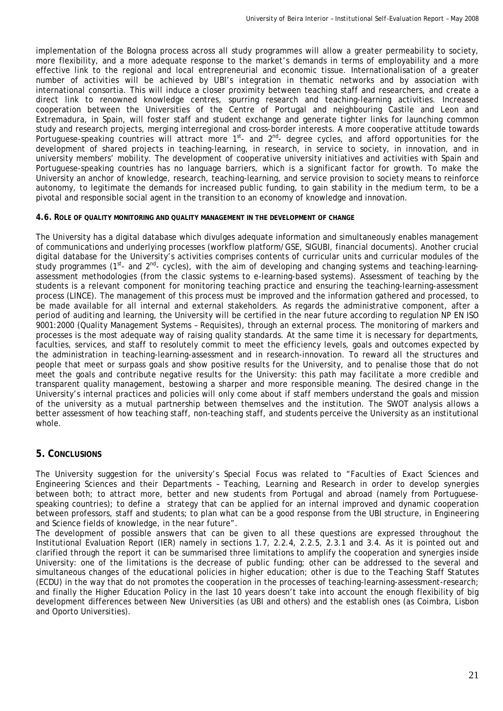implementation of the Bologna process across all study programmes will allow a greater permeability to society, more flexibility, and a more adequate response to the market's demands in terms of employability and a more effective link to the regional and local entrepreneurial and economic tissue. Internationalisation of a greater number of activities will be achieved by UBI's integration in thematic networks and by association with international consortia. This will induce a closer proximity between teaching staff and researchers, and create a direct link to renowned knowledge centres, spurring research and teaching-learning activities. Increased cooperation between the Universities of the Centre of Portugal and neighbouring Castile and Leon and Extremadura, in Spain, will foster staff and student exchange and generate tighter links for launching common study and research projects, merging interregional and cross-border interests. A more cooperative attitude towards Portuguese-speaking countries will attract more 1<sup>st</sup>- and 2<sup>nd</sup>- degree cycles, and afford opportunities for the development of shared projects in teaching-learning, in research, in service to society, in innovation, and in university members' mobility. The development of cooperative university initiatives and activities with Spain and Portuguese-speaking countries has no language barriers, which is a significant factor for growth. To make the University an anchor of knowledge, research, teaching-learning, and service provision to society means to reinforce autonomy, to legitimate the demands for increased public funding, to gain stability in the medium term, to be a pivotal and responsible social agent in the transition to an economy of knowledge and innovation.

#### **4.6. ROLE OF QUALITY MONITORING AND QUALITY MANAGEMENT IN THE DEVELOPMENT OF CHANGE**

The University has a digital database which divulges adequate information and simultaneously enables management of communications and underlying processes (workflow platform/GSE, SIGUBI, financial documents). Another crucial digital database for the University's activities comprises contents of curricular units and curricular modules of the study programmes ( $1^{st}$ - and  $2^{nd}$ - cycles), with the aim of developing and changing systems and teaching-learningassessment methodologies (from the classic systems to e-learning-based systems). Assessment of teaching by the students is a relevant component for monitoring teaching practice and ensuring the teaching-learning-assessment process (LINCE). The management of this process must be improved and the information gathered and processed, to be made available for all internal and external stakeholders. As regards the administrative component, after a period of auditing and learning, the University will be certified in the near future according to regulation NP EN ISO 9001:2000 (Quality Management Systems – Requisites), through an external process. The monitoring of markers and processes is the most adequate way of raising quality standards. At the same time it is necessary for departments, faculties, services, and staff to resolutely commit to meet the efficiency levels, goals and outcomes expected by the administration in teaching-learning-assessment and in research-innovation. To reward all the structures and people that meet or surpass goals and show positive results for the University, and to penalise those that do not meet the goals and contribute negative results for the University: this path may facilitate a more credible and transparent quality management, bestowing a sharper and more responsible meaning. The desired change in the University's internal practices and policies will only come about if staff members understand the goals and mission of the university as a mutual partnership between themselves and the institution. The SWOT analysis allows a better assessment of how teaching staff, non-teaching staff, and students perceive the University as an institutional whole.

# **5. CONCLUSIONS**

The University suggestion for the university's Special Focus was related to "Faculties of Exact Sciences and Engineering Sciences and their Departments – Teaching, Learning and Research in order to develop synergies between both; to attract more, better and new students from Portugal and abroad (namely from Portuguesespeaking countries); to define a strategy that can be applied for an internal improved and dynamic cooperation between professors, staff and students; to plan what can be a good response from the UBI structure, in Engineering and Science fields of knowledge, in the near future".

The development of possible answers that can be given to all these questions are expressed throughout the Institutional Evaluation Report (IER) namely in sections 1.7, 2.2.4, 2.2.5, 2.3.1 and 3.4. As it is pointed out and clarified through the report it can be summarised three limitations to amplify the cooperation and synergies inside University: one of the limitations is the decrease of public funding; other can be addressed to the several and simultaneous changes of the educational policies in higher education; other is due to the Teaching Staff Statutes (ECDU) in the way that do not promotes the cooperation in the processes of teaching-learning-assessment-research; and finally the Higher Education Policy in the last 10 years doesn't take into account the enough flexibility of big development differences between New Universities (as UBI and others) and the establish ones (as Coimbra, Lisbon and Oporto Universities).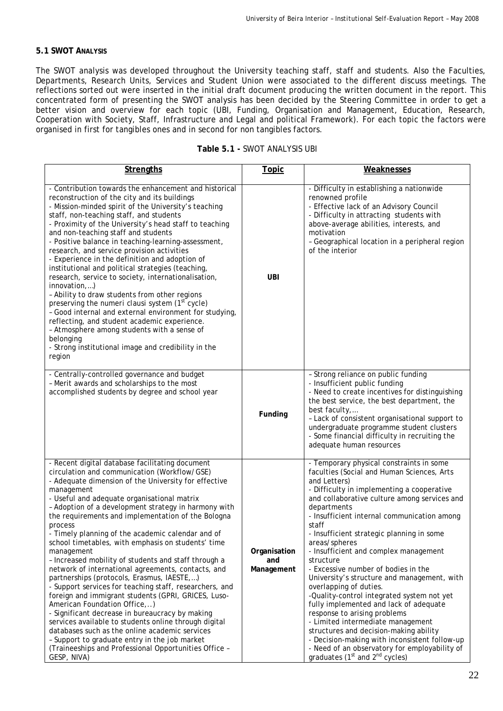# **5.1 SWOT ANALYSIS**

The SWOT analysis was developed throughout the University teaching staff, staff and students. Also the Faculties, Departments, Research Units, Services and Student Union were associated to the different discuss meetings. The reflections sorted out were inserted in the initial draft document producing the written document in the report. This concentrated form of presenting the SWOT analysis has been decided by the Steering Committee in order to get a better vision and overview for each topic (UBI, Funding, Organisation and Management, Education, Research, Cooperation with Society, Staff, Infrastructure and Legal and political Framework). For each topic the factors were organised in first for tangibles ones and in second for non tangibles factors.

|  |  | Table 5.1 - SWOT ANALYSIS UBI |
|--|--|-------------------------------|
|--|--|-------------------------------|

| <b>Strengths</b>                                                                                                                                                                                                                                                                                                                                                                                                                                                                                                                                                                                                                                                                                                                                                                                                                                                                                                                                                                                                                                                            | <b>Topic</b>                      | Weaknesses                                                                                                                                                                                                                                                                                                                                                                                                                                                                                                                                                                                                                                                                                                                                                                                                                                                      |
|-----------------------------------------------------------------------------------------------------------------------------------------------------------------------------------------------------------------------------------------------------------------------------------------------------------------------------------------------------------------------------------------------------------------------------------------------------------------------------------------------------------------------------------------------------------------------------------------------------------------------------------------------------------------------------------------------------------------------------------------------------------------------------------------------------------------------------------------------------------------------------------------------------------------------------------------------------------------------------------------------------------------------------------------------------------------------------|-----------------------------------|-----------------------------------------------------------------------------------------------------------------------------------------------------------------------------------------------------------------------------------------------------------------------------------------------------------------------------------------------------------------------------------------------------------------------------------------------------------------------------------------------------------------------------------------------------------------------------------------------------------------------------------------------------------------------------------------------------------------------------------------------------------------------------------------------------------------------------------------------------------------|
|                                                                                                                                                                                                                                                                                                                                                                                                                                                                                                                                                                                                                                                                                                                                                                                                                                                                                                                                                                                                                                                                             |                                   |                                                                                                                                                                                                                                                                                                                                                                                                                                                                                                                                                                                                                                                                                                                                                                                                                                                                 |
| - Contribution towards the enhancement and historical<br>reconstruction of the city and its buildings<br>- Mission-minded spirit of the University's teaching<br>staff, non-teaching staff, and students<br>- Proximity of the University's head staff to teaching<br>and non-teaching staff and students<br>- Positive balance in teaching-learning-assessment,<br>research, and service provision activities<br>- Experience in the definition and adoption of<br>institutional and political strategies (teaching,<br>research, service to society, internationalisation,<br>innovation,)<br>- Ability to draw students from other regions<br>preserving the <i>numeri clausi</i> system (1 <sup>st</sup> cycle)<br>- Good internal and external environment for studying,<br>reflecting, and student academic experience.<br>- Atmosphere among students with a sense of<br>belonging<br>- Strong institutional image and credibility in the<br>region                                                                                                                  | <b>UBI</b>                        | - Difficulty in establishing a nationwide<br>renowned profile<br>- Effective lack of an Advisory Council<br>- Difficulty in attracting students with<br>above-average abilities, interests, and<br>motivation<br>- Geographical location in a peripheral region<br>of the interior                                                                                                                                                                                                                                                                                                                                                                                                                                                                                                                                                                              |
| - Centrally-controlled governance and budget<br>- Merit awards and scholarships to the most<br>accomplished students by degree and school year                                                                                                                                                                                                                                                                                                                                                                                                                                                                                                                                                                                                                                                                                                                                                                                                                                                                                                                              | Funding                           | - Strong reliance on public funding<br>- Insufficient public funding<br>- Need to create incentives for distinguishing<br>the best service, the best department, the<br>best faculty,<br>- Lack of consistent organisational support to<br>undergraduate programme student clusters<br>- Some financial difficulty in recruiting the<br>adequate human resources                                                                                                                                                                                                                                                                                                                                                                                                                                                                                                |
| - Recent digital database facilitating document<br>circulation and communication (Workflow/GSE)<br>- Adequate dimension of the University for effective<br>management<br>- Useful and adequate organisational matrix<br>- Adoption of a development strategy in harmony with<br>the requirements and implementation of the Bologna<br>process<br>- Timely planning of the academic calendar and of<br>school timetables, with emphasis on students' time<br>management<br>- Increased mobility of students and staff through a<br>network of international agreements, contacts, and<br>partnerships (protocols, Erasmus, IAESTE,)<br>- Support services for teaching staff, researchers, and<br>foreign and immigrant students (GPRI, GRICES, Luso-<br>American Foundation Office,)<br>- Significant decrease in bureaucracy by making<br>services available to students online through digital<br>databases such as the online academic services<br>- Support to graduate entry in the job market<br>(Traineeships and Professional Opportunities Office -<br>GESP, NIVA) | Organisation<br>and<br>Management | - Temporary physical constraints in some<br>faculties (Social and Human Sciences, Arts<br>and Letters)<br>- Difficulty in implementing a cooperative<br>and collaborative culture among services and<br>departments<br>- Insufficient internal communication among<br>staff<br>- Insufficient strategic planning in some<br>areas/spheres<br>- Insufficient and complex management<br>structure<br>- Excessive number of bodies in the<br>University's structure and management, with<br>overlapping of duties.<br>-Quality-control integrated system not yet<br>fully implemented and lack of adequate<br>response to arising problems<br>- Limited intermediate management<br>structures and decision-making ability<br>- Decision-making with inconsistent follow-up<br>- Need of an observatory for employability of<br>graduates ( $1st$ and $2nd$ cycles) |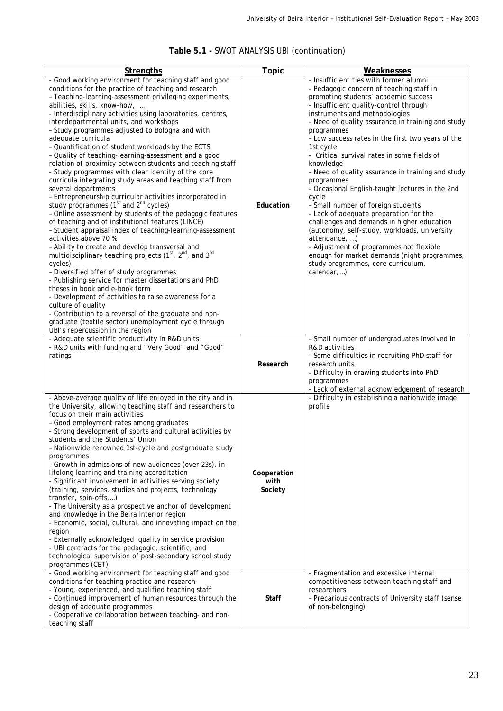|  |  |  |  | Table 5.1 - SWOT ANALYSIS UBI (continuation) |
|--|--|--|--|----------------------------------------------|
|--|--|--|--|----------------------------------------------|

| <b>Strengths</b>                                                                                                                                                                                                                                                                                                                                                                                                                                                                                                                                                                                                                                                                                                                                                                                                                                                                                                                                                                                                                                                                                                                                                                                                                                                                                                                                                                                                                                                                                                                                                        | <b>Topic</b>                   | Weaknesses                                                                                                                                                                                                                                                                                                                                                                                                                                                                                                                                                                                                                                                                                                                                                                                                                                                                            |
|-------------------------------------------------------------------------------------------------------------------------------------------------------------------------------------------------------------------------------------------------------------------------------------------------------------------------------------------------------------------------------------------------------------------------------------------------------------------------------------------------------------------------------------------------------------------------------------------------------------------------------------------------------------------------------------------------------------------------------------------------------------------------------------------------------------------------------------------------------------------------------------------------------------------------------------------------------------------------------------------------------------------------------------------------------------------------------------------------------------------------------------------------------------------------------------------------------------------------------------------------------------------------------------------------------------------------------------------------------------------------------------------------------------------------------------------------------------------------------------------------------------------------------------------------------------------------|--------------------------------|---------------------------------------------------------------------------------------------------------------------------------------------------------------------------------------------------------------------------------------------------------------------------------------------------------------------------------------------------------------------------------------------------------------------------------------------------------------------------------------------------------------------------------------------------------------------------------------------------------------------------------------------------------------------------------------------------------------------------------------------------------------------------------------------------------------------------------------------------------------------------------------|
| - Good working environment for teaching staff and good<br>conditions for the practice of teaching and research<br>- Teaching-learning-assessment privileging experiments,<br>abilities, skills, know-how,<br>- Interdisciplinary activities using laboratories, centres,<br>interdepartmental units, and workshops<br>- Study programmes adjusted to Bologna and with<br>adequate curricula<br>- Quantification of student workloads by the ECTS<br>- Quality of teaching-learning-assessment and a good<br>relation of proximity between students and teaching staff<br>- Study programmes with clear identity of the core<br>curricula integrating study areas and teaching staff from<br>several departments<br>- Entrepreneurship curricular activities incorporated in<br>study programmes $(1st$ and $2nd$ cycles)<br>- Online assessment by students of the pedagogic features<br>of teaching and of institutional features (LINCE)<br>- Student appraisal index of teaching-learning-assessment<br>activities above 70 %<br>- Ability to create and develop transversal and<br>multidisciplinary teaching projects (1 <sup>st</sup> , 2 <sup>nd</sup> , and 3 <sup>rd</sup><br>cycles)<br>- Diversified offer of study programmes<br>- Publishing service for master dissertations and PhD<br>theses in book and e-book form<br>- Development of activities to raise awareness for a<br>culture of quality<br>- Contribution to a reversal of the graduate and non-<br>graduate (textile sector) unemployment cycle through<br>UBI's repercussion in the region | Education                      | - Insufficient ties with former alumni<br>- Pedagogic concern of teaching staff in<br>promoting students' academic success<br>- Insufficient quality-control through<br>instruments and methodologies<br>- Need of quality assurance in training and study<br>programmes<br>- Low success rates in the first two years of the<br>1st cycle<br>- Critical survival rates in some fields of<br>knowledge<br>- Need of quality assurance in training and study<br>programmes<br>- Occasional English-taught lectures in the 2nd<br>cycle<br>- Small number of foreign students<br>- Lack of adequate preparation for the<br>challenges and demands in higher education<br>(autonomy, self-study, workloads, university<br>attendance, )<br>- Adjustment of programmes not flexible<br>enough for market demands (night programmes,<br>study programmes, core curriculum,<br>$calendar$ ) |
| - Adequate scientific productivity in R&D units<br>- R&D units with funding and "Very Good" and "Good"<br>ratings                                                                                                                                                                                                                                                                                                                                                                                                                                                                                                                                                                                                                                                                                                                                                                                                                                                                                                                                                                                                                                                                                                                                                                                                                                                                                                                                                                                                                                                       | Research                       | - Small number of undergraduates involved in<br>R&D activities<br>- Some difficulties in recruiting PhD staff for<br>research units<br>- Difficulty in drawing students into PhD<br>programmes<br>- Lack of external acknowledgement of research                                                                                                                                                                                                                                                                                                                                                                                                                                                                                                                                                                                                                                      |
| - Above-average quality of life enjoyed in the city and in<br>the University, allowing teaching staff and researchers to<br>focus on their main activities<br>- Good employment rates among graduates<br>- Strong development of sports and cultural activities by<br>students and the Students' Union<br>- Nationwide renowned 1st-cycle and postgraduate study<br>programmes<br>- Growth in admissions of new audiences (over 23s), in<br>lifelong learning and training accreditation<br>- Significant involvement in activities serving society<br>(training, services, studies and projects, technology<br>transfer, spin-offs,)<br>- The University as a prospective anchor of development<br>and knowledge in the Beira Interior region<br>- Economic, social, cultural, and innovating impact on the<br>region<br>- Externally acknowledged quality in service provision<br>- UBI contracts for the pedagogic, scientific, and<br>technological supervision of post-secondary school study<br>programmes (CET)                                                                                                                                                                                                                                                                                                                                                                                                                                                                                                                                                  | Cooperation<br>with<br>Society | - Difficulty in establishing a nationwide image<br>profile                                                                                                                                                                                                                                                                                                                                                                                                                                                                                                                                                                                                                                                                                                                                                                                                                            |
| - Good working environment for teaching staff and good<br>conditions for teaching practice and research<br>- Young, experienced, and qualified teaching staff<br>- Continued improvement of human resources through the<br>design of adequate programmes<br>- Cooperative collaboration between teaching- and non-<br>teaching staff                                                                                                                                                                                                                                                                                                                                                                                                                                                                                                                                                                                                                                                                                                                                                                                                                                                                                                                                                                                                                                                                                                                                                                                                                                    | <b>Staff</b>                   | - Fragmentation and excessive internal<br>competitiveness between teaching staff and<br>researchers<br>- Precarious contracts of University staff (sense<br>of non-belonging)                                                                                                                                                                                                                                                                                                                                                                                                                                                                                                                                                                                                                                                                                                         |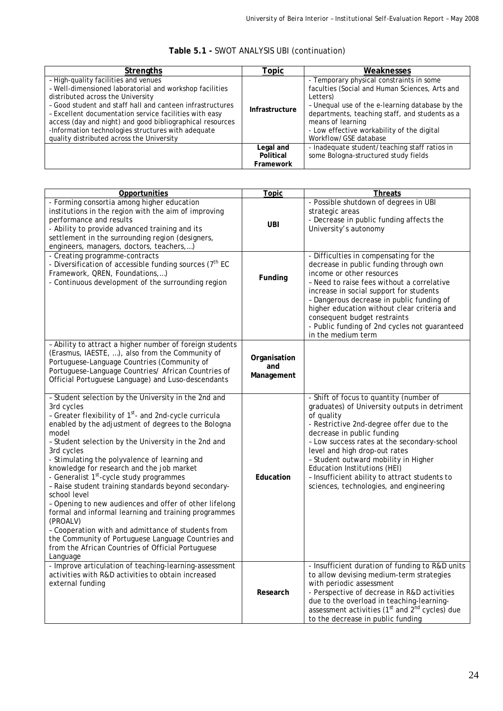| <b>Strengths</b>                                                                                                                                                                                                                                                                                                                                                                                                            | Topic                               | Weaknesses                                                                                                                                                                                                                                                                                              |
|-----------------------------------------------------------------------------------------------------------------------------------------------------------------------------------------------------------------------------------------------------------------------------------------------------------------------------------------------------------------------------------------------------------------------------|-------------------------------------|---------------------------------------------------------------------------------------------------------------------------------------------------------------------------------------------------------------------------------------------------------------------------------------------------------|
| - High-quality facilities and venues<br>- Well-dimensioned laboratorial and workshop facilities<br>distributed across the University<br>- Good student and staff hall and canteen infrastructures<br>- Excellent documentation service facilities with easy<br>access (day and night) and good bibliographical resources<br>-Information technologies structures with adequate<br>quality distributed across the University | Infrastructure                      | - Temporary physical constraints in some<br>faculties (Social and Human Sciences, Arts and<br>Letters)<br>- Unequal use of the e-learning database by the<br>departments, teaching staff, and students as a<br>means of learning<br>- Low effective workability of the digital<br>Workflow/GSE database |
|                                                                                                                                                                                                                                                                                                                                                                                                                             | Legal and<br>Political<br>Framework | - Inadequate student/teaching staff ratios in<br>some Bologna-structured study fields                                                                                                                                                                                                                   |

# **Table 5.1 -** SWOT ANALYSIS UBI (continuation)

| Opportunities                                                                                                                                                                                                                                                                                                                                                                                                                                                                                                                                                                                                                                                                                                                                                                                                           | <b>Topic</b>                      | <b>Threats</b>                                                                                                                                                                                                                                                                                                                                                                                                                        |
|-------------------------------------------------------------------------------------------------------------------------------------------------------------------------------------------------------------------------------------------------------------------------------------------------------------------------------------------------------------------------------------------------------------------------------------------------------------------------------------------------------------------------------------------------------------------------------------------------------------------------------------------------------------------------------------------------------------------------------------------------------------------------------------------------------------------------|-----------------------------------|---------------------------------------------------------------------------------------------------------------------------------------------------------------------------------------------------------------------------------------------------------------------------------------------------------------------------------------------------------------------------------------------------------------------------------------|
| - Forming consortia among higher education<br>institutions in the region with the aim of improving<br>performance and results<br>- Ability to provide advanced training and its<br>settlement in the surrounding region (designers,<br>engineers, managers, doctors, teachers,)                                                                                                                                                                                                                                                                                                                                                                                                                                                                                                                                         | <b>UBI</b>                        | - Possible shutdown of degrees in UBI<br>strategic areas<br>- Decrease in public funding affects the<br>University's autonomy                                                                                                                                                                                                                                                                                                         |
| - Creating programme-contracts<br>- Diversification of accessible funding sources (7 <sup>th</sup> EC<br>Framework, QREN, Foundations,)<br>- Continuous development of the surrounding region                                                                                                                                                                                                                                                                                                                                                                                                                                                                                                                                                                                                                           | Funding                           | - Difficulties in compensating for the<br>decrease in public funding through own<br>income or other resources<br>- Need to raise fees without a correlative<br>increase in social support for students<br>- Dangerous decrease in public funding of<br>higher education without clear criteria and<br>consequent budget restraints<br>- Public funding of 2nd cycles not guaranteed<br>in the medium term                             |
| - Ability to attract a higher number of foreign students<br>(Erasmus, IAESTE, ), also from the Community of<br>Portuguese-Language Countries (Community of<br>Portuguese-Language Countries/ African Countries of<br>Official Portuguese Language) and Luso-descendants                                                                                                                                                                                                                                                                                                                                                                                                                                                                                                                                                 | Organisation<br>and<br>Management |                                                                                                                                                                                                                                                                                                                                                                                                                                       |
| - Student selection by the University in the 2nd and<br>3rd cycles<br>- Greater flexibility of 1 <sup>st</sup> - and 2nd-cycle curricula<br>enabled by the adjustment of degrees to the Bologna<br>model<br>- Student selection by the University in the 2nd and<br>3rd cycles<br>- Stimulating the polyvalence of learning and<br>knowledge for research and the job market<br>- Generalist 1 <sup>st</sup> -cycle study programmes<br>- Raise student training standards beyond secondary-<br>school level<br>- Opening to new audiences and offer of other lifelong<br>formal and informal learning and training programmes<br>(PROALV)<br>- Cooperation with and admittance of students from<br>the Community of Portuguese Language Countries and<br>from the African Countries of Official Portuguese<br>Language | Education                         | - Shift of focus to quantity (number of<br>graduates) of University outputs in detriment<br>of quality<br>- Restrictive 2nd-degree offer due to the<br>decrease in public funding<br>- Low success rates at the secondary-school<br>level and high drop-out rates<br>- Student outward mobility in Higher<br>Education Institutions (HEI)<br>- Insufficient ability to attract students to<br>sciences, technologies, and engineering |
| - Improve articulation of teaching-learning-assessment<br>activities with R&D activities to obtain increased<br>external funding                                                                                                                                                                                                                                                                                                                                                                                                                                                                                                                                                                                                                                                                                        | Research                          | - Insufficient duration of funding to R&D units<br>to allow devising medium-term strategies<br>with periodic assessment<br>- Perspective of decrease in R&D activities<br>due to the overload in teaching-learning-<br>assessment activities (1 <sup>st</sup> and 2 <sup>nd</sup> cycles) due<br>to the decrease in public funding                                                                                                    |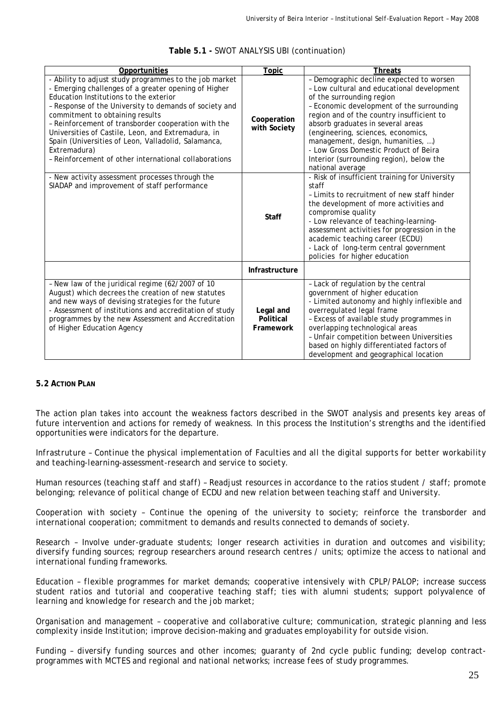| Opportunities                                                                                                                                                                                                                                                                                                                                                                                                                                                                                      | Topic                               | <b>Threats</b>                                                                                                                                                                                                                                                                                                                                                                                                                         |
|----------------------------------------------------------------------------------------------------------------------------------------------------------------------------------------------------------------------------------------------------------------------------------------------------------------------------------------------------------------------------------------------------------------------------------------------------------------------------------------------------|-------------------------------------|----------------------------------------------------------------------------------------------------------------------------------------------------------------------------------------------------------------------------------------------------------------------------------------------------------------------------------------------------------------------------------------------------------------------------------------|
| - Ability to adjust study programmes to the job market<br>- Emerging challenges of a greater opening of Higher<br>Education Institutions to the exterior<br>- Response of the University to demands of society and<br>commitment to obtaining results<br>- Reinforcement of transborder cooperation with the<br>Universities of Castile, Leon, and Extremadura, in<br>Spain (Universities of Leon, Valladolid, Salamanca,<br>Extremadura)<br>- Reinforcement of other international collaborations | Cooperation<br>with Society         | - Demographic decline expected to worsen<br>- Low cultural and educational development<br>of the surrounding region<br>- Economic development of the surrounding<br>region and of the country insufficient to<br>absorb graduates in several areas<br>(engineering, sciences, economics,<br>management, design, humanities, )<br>- Low Gross Domestic Product of Beira<br>Interior (surrounding region), below the<br>national average |
| - New activity assessment processes through the<br>SIADAP and improvement of staff performance                                                                                                                                                                                                                                                                                                                                                                                                     | <b>Staff</b>                        | - Risk of insufficient training for University<br>staff<br>- Limits to recruitment of new staff hinder<br>the development of more activities and<br>compromise quality<br>- Low relevance of teaching-learning-<br>assessment activities for progression in the<br>academic teaching career (ECDU)<br>- Lack of long-term central government<br>policies for higher education                                                          |
|                                                                                                                                                                                                                                                                                                                                                                                                                                                                                                    | Infrastructure                      |                                                                                                                                                                                                                                                                                                                                                                                                                                        |
| - New law of the juridical regime (62/2007 of 10<br>August) which decrees the creation of new statutes<br>and new ways of devising strategies for the future<br>- Assessment of institutions and accreditation of study<br>programmes by the new Assessment and Accreditation<br>of Higher Education Agency                                                                                                                                                                                        | Legal and<br>Political<br>Framework | - Lack of regulation by the central<br>government of higher education<br>- Limited autonomy and highly inflexible and<br>overregulated legal frame<br>- Excess of available study programmes in<br>overlapping technological areas<br>- Unfair competition between Universities<br>based on highly differentiated factors of<br>development and geographical location                                                                  |

#### **Table 5.1 -** SWOT ANALYSIS UBI (continuation)

# **5.2 ACTION PLAN**

The action plan takes into account the weakness factors described in the SWOT analysis and presents key areas of future intervention and actions for remedy of weakness. In this process the Institution's strengths and the identified opportunities were indicators for the departure.

*Infrastruture – Continue the physical implementation of Faculties and all the digital supports for better workability and teaching-learning-assessment-research and service to society.* 

*Human resources (teaching staff and staff) – Readjust resources in accordance to the ratios student / staff; promote belonging; relevance of political change of ECDU and new relation between teaching staff and University.* 

*Cooperation with society – Continue the opening of the university to society; reinforce the transborder and international cooperation; commitment to demands and results connected to demands of society.* 

*Research – Involve under-graduate students; longer research activities in duration and outcomes and visibility; diversify funding sources; regroup researchers around research centres / units; optimize the access to national and international funding frameworks.* 

*Education – flexible programmes for market demands; cooperative intensively with CPLP/PALOP; increase success student ratios and tutorial and cooperative teaching staff; ties with alumni students; support polyvalence of learning and knowledge for research and the job market;* 

*Organisation and management – cooperative and collaborative culture; communication, strategic planning and less complexity inside Institution; improve decision-making and graduates employability for outside vision.* 

*Funding – diversify funding sources and other incomes; guaranty of 2nd cycle public funding; develop contractprogrammes with MCTES and regional and national networks; increase fees of study programmes.*